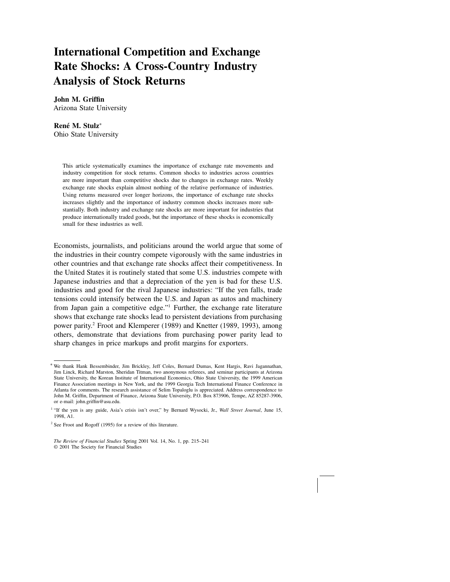# **International Competition and Exchange Rate Shocks: A Cross-Country Industry Analysis of Stock Returns**

**John M. Griffin** Arizona State University

**René M. Stulz**<sup>∗</sup> Ohio State University

> This article systematically examines the importance of exchange rate movements and industry competition for stock returns. Common shocks to industries across countries are more important than competitive shocks due to changes in exchange rates. Weekly exchange rate shocks explain almost nothing of the relative performance of industries. Using returns measured over longer horizons, the importance of exchange rate shocks increases slightly and the importance of industry common shocks increases more substantially. Both industry and exchange rate shocks are more important for industries that produce internationally traded goods, but the importance of these shocks is economically small for these industries as well.

Economists, journalists, and politicians around the world argue that some of the industries in their country compete vigorously with the same industries in other countries and that exchange rate shocks affect their competitiveness. In the United States it is routinely stated that some U.S. industries compete with Japanese industries and that a depreciation of the yen is bad for these U.S. industries and good for the rival Japanese industries: "If the yen falls, trade tensions could intensify between the U.S. and Japan as autos and machinery from Japan gain a competitive edge."1 Further, the exchange rate literature shows that exchange rate shocks lead to persistent deviations from purchasing power parity.2 Froot and Klemperer (1989) and Knetter (1989, 1993), among others, demonstrate that deviations from purchasing power parity lead to sharp changes in price markups and profit margins for exporters.

<sup>∗</sup> We thank Hank Bessembinder, Jim Brickley, Jeff Coles, Bernard Dumas, Kent Hargis, Ravi Jagannathan, Jim Linck, Richard Marston, Sheridan Titman, two anonymous referees, and seminar participants at Arizona State University, the Korean Institute of International Economics, Ohio State University, the 1999 American Finance Association meetings in New York, and the 1999 Georgia Tech International Finance Conference in Atlanta for comments. The research assistance of Selim Topaloglu is appreciated. Address correspondence to John M. Griffin, Department of Finance, Arizona State University, P.O. Box 873906, Tempe, AZ 85287-3906, or e-mail: john.griffin@asu.edu.

<sup>&</sup>lt;sup>1</sup> "If the yen is any guide, Asia's crisis isn't over," by Bernard Wysocki, Jr., Wall Street Journal, June 15, 1998, A1.

<sup>&</sup>lt;sup>2</sup> See Froot and Rogoff (1995) for a review of this literature.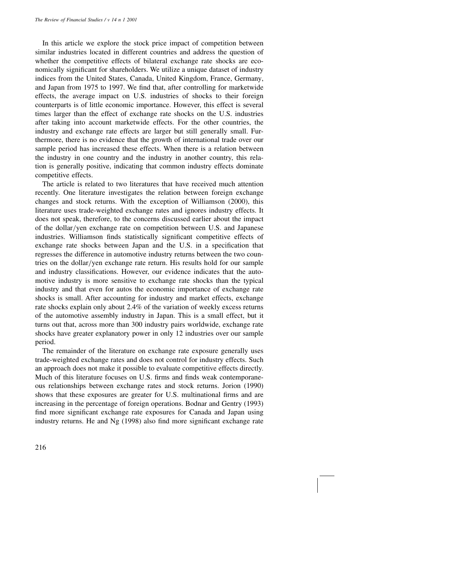In this article we explore the stock price impact of competition between similar industries located in different countries and address the question of whether the competitive effects of bilateral exchange rate shocks are economically significant for shareholders. We utilize a unique dataset of industry indices from the United States, Canada, United Kingdom, France, Germany, and Japan from 1975 to 1997. We find that, after controlling for marketwide effects, the average impact on U.S. industries of shocks to their foreign counterparts is of little economic importance. However, this effect is several times larger than the effect of exchange rate shocks on the U.S. industries after taking into account marketwide effects. For the other countries, the industry and exchange rate effects are larger but still generally small. Furthermore, there is no evidence that the growth of international trade over our sample period has increased these effects. When there is a relation between the industry in one country and the industry in another country, this relation is generally positive, indicating that common industry effects dominate competitive effects.

The article is related to two literatures that have received much attention recently. One literature investigates the relation between foreign exchange changes and stock returns. With the exception of Williamson (2000), this literature uses trade-weighted exchange rates and ignores industry effects. It does not speak, therefore, to the concerns discussed earlier about the impact of the dollar/yen exchange rate on competition between U.S. and Japanese industries. Williamson finds statistically significant competitive effects of exchange rate shocks between Japan and the U.S. in a specification that regresses the difference in automotive industry returns between the two countries on the dollar/yen exchange rate return. His results hold for our sample and industry classifications. However, our evidence indicates that the automotive industry is more sensitive to exchange rate shocks than the typical industry and that even for autos the economic importance of exchange rate shocks is small. After accounting for industry and market effects, exchange rate shocks explain only about 2.4% of the variation of weekly excess returns of the automotive assembly industry in Japan. This is a small effect, but it turns out that, across more than 300 industry pairs worldwide, exchange rate shocks have greater explanatory power in only 12 industries over our sample period.

The remainder of the literature on exchange rate exposure generally uses trade-weighted exchange rates and does not control for industry effects. Such an approach does not make it possible to evaluate competitive effects directly. Much of this literature focuses on U.S. firms and finds weak contemporaneous relationships between exchange rates and stock returns. Jorion (1990) shows that these exposures are greater for U.S. multinational firms and are increasing in the percentage of foreign operations. Bodnar and Gentry (1993) find more significant exchange rate exposures for Canada and Japan using industry returns. He and Ng (1998) also find more significant exchange rate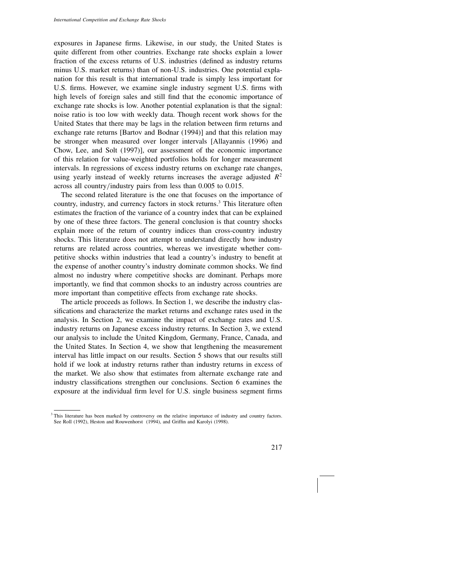exposures in Japanese firms. Likewise, in our study, the United States is quite different from other countries. Exchange rate shocks explain a lower fraction of the excess returns of U.S. industries (defined as industry returns minus U.S. market returns) than of non-U.S. industries. One potential explanation for this result is that international trade is simply less important for U.S. firms. However, we examine single industry segment U.S. firms with high levels of foreign sales and still find that the economic importance of exchange rate shocks is low. Another potential explanation is that the signal: noise ratio is too low with weekly data. Though recent work shows for the United States that there may be lags in the relation between firm returns and exchange rate returns [Bartov and Bodnar (1994)] and that this relation may be stronger when measured over longer intervals [Allayannis (1996) and Chow, Lee, and Solt (1997)], our assessment of the economic importance of this relation for value-weighted portfolios holds for longer measurement intervals. In regressions of excess industry returns on exchange rate changes, using yearly instead of weekly returns increases the average adjusted  $R^2$ across all country/industry pairs from less than 0.005 to 0.015.

The second related literature is the one that focuses on the importance of country, industry, and currency factors in stock returns.<sup>3</sup> This literature often estimates the fraction of the variance of a country index that can be explained by one of these three factors. The general conclusion is that country shocks explain more of the return of country indices than cross-country industry shocks. This literature does not attempt to understand directly how industry returns are related across countries, whereas we investigate whether competitive shocks within industries that lead a country's industry to benefit at the expense of another country's industry dominate common shocks. We find almost no industry where competitive shocks are dominant. Perhaps more importantly, we find that common shocks to an industry across countries are more important than competitive effects from exchange rate shocks.

The article proceeds as follows. In Section 1, we describe the industry classifications and characterize the market returns and exchange rates used in the analysis. In Section 2, we examine the impact of exchange rates and U.S. industry returns on Japanese excess industry returns. In Section 3, we extend our analysis to include the United Kingdom, Germany, France, Canada, and the United States. In Section 4, we show that lengthening the measurement interval has little impact on our results. Section 5 shows that our results still hold if we look at industry returns rather than industry returns in excess of the market. We also show that estimates from alternate exchange rate and industry classifications strengthen our conclusions. Section 6 examines the exposure at the individual firm level for U.S. single business segment firms

<sup>&</sup>lt;sup>3</sup> This literature has been marked by controversy on the relative importance of industry and country factors. See Roll (1992), Heston and Rouwenhorst (1994), and Griffin and Karolyi (1998).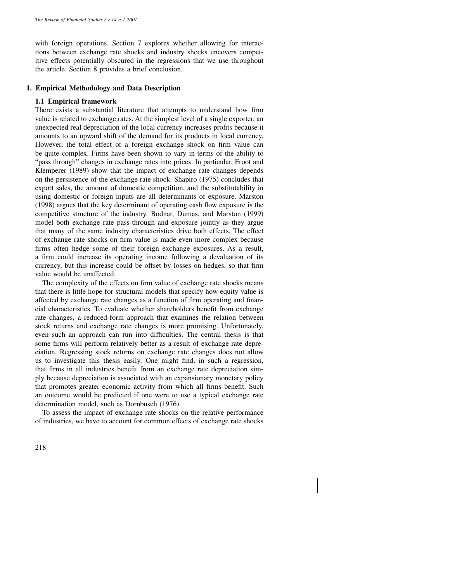with foreign operations. Section 7 explores whether allowing for interactions between exchange rate shocks and industry shocks uncovers competitive effects potentially obscured in the regressions that we use throughout the article. Section 8 provides a brief conclusion.

# **1. Empirical Methodology and Data Description**

# **1.1 Empirical framework**

There exists a substantial literature that attempts to understand how firm value is related to exchange rates. At the simplest level of a single exporter, an unexpected real depreciation of the local currency increases profits because it amounts to an upward shift of the demand for its products in local currency. However, the total effect of a foreign exchange shock on firm value can be quite complex. Firms have been shown to vary in terms of the ability to "pass through" changes in exchange rates into prices. In particular, Froot and Klemperer (1989) show that the impact of exchange rate changes depends on the persistence of the exchange rate shock. Shapiro (1975) concludes that export sales, the amount of domestic competition, and the substitutability in using domestic or foreign inputs are all determinants of exposure. Marston (1998) argues that the key determinant of operating cash flow exposure is the competitive structure of the industry. Bodnar, Dumas, and Marston (1999) model both exchange rate pass-through and exposure jointly as they argue that many of the same industry characteristics drive both effects. The effect of exchange rate shocks on firm value is made even more complex because firms often hedge some of their foreign exchange exposures. As a result, a firm could increase its operating income following a devaluation of its currency, but this increase could be offset by losses on hedges, so that firm value would be unaffected.

The complexity of the effects on firm value of exchange rate shocks means that there is little hope for structural models that specify how equity value is affected by exchange rate changes as a function of firm operating and financial characteristics. To evaluate whether shareholders benefit from exchange rate changes, a reduced-form approach that examines the relation between stock returns and exchange rate changes is more promising. Unfortunately, even such an approach can run into difficulties. The central thesis is that some firms will perform relatively better as a result of exchange rate depreciation. Regressing stock returns on exchange rate changes does not allow us to investigate this thesis easily. One might find, in such a regression, that firms in all industries benefit from an exchange rate depreciation simply because depreciation is associated with an expansionary monetary policy that promotes greater economic activity from which all firms benefit. Such an outcome would be predicted if one were to use a typical exchange rate determination model, such as Dornbusch (1976).

To assess the impact of exchange rate shocks on the relative performance of industries, we have to account for common effects of exchange rate shocks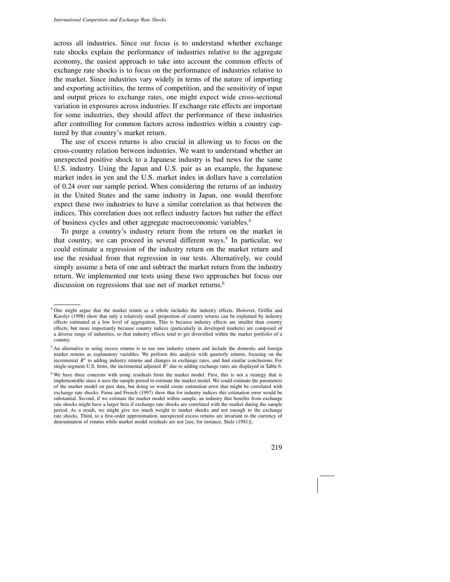across all industries. Since our focus is to understand whether exchange rate shocks explain the performance of industries relative to the aggregate economy, the easiest approach to take into account the common effects of exchange rate shocks is to focus on the performance of industries relative to the market. Since industries vary widely in terms of the nature of importing and exporting activities, the terms of competition, and the sensitivity of input and output prices to exchange rates, one might expect wide cross-sectional variation in exposures across industries. If exchange rate effects are important for some industries, they should affect the performance of these industries after controlling for common factors across industries within a country captured by that country's market return.

The use of excess returns is also crucial in allowing us to focus on the cross-country relation between industries. We want to understand whether an unexpected positive shock to a Japanese industry is bad news for the same U.S. industry. Using the Japan and U.S. pair as an example, the Japanese market index in yen and the U.S. market index in dollars have a correlation of 0.24 over our sample period. When considering the returns of an industry in the United States and the same industry in Japan, one would therefore expect these two industries to have a similar correlation as that between the indices. This correlation does not reflect industry factors but rather the effect of business cycles and other aggregate macroeconomic variables.4

To purge a country's industry return from the return on the market in that country, we can proceed in several different ways.<sup>5</sup> In particular, we could estimate a regression of the industry return on the market return and use the residual from that regression in our tests. Alternatively, we could simply assume a beta of one and subtract the market return from the industry return. We implemented our tests using these two approaches but focus our discussion on regressions that use net of market returns.<sup>6</sup>

<sup>&</sup>lt;sup>4</sup> One might argue that the market return as a whole includes the industry effects. However, Griffin and Karolyi (1998) show that only a relatively small proportion of country returns can be explained by industry effects estimated at a low level of aggregation. This is because industry effects are smaller than country effects, but more importantly because country indices (particularly in developed markets) are composed of a diverse range of industries, so that industry effects tend to get diversified within the market portfolio of a country.

<sup>&</sup>lt;sup>5</sup> An alternative to using excess returns is to use raw industry returns and include the domestic and foreign market returns as explanatory variables. We perform this analysis with quarterly returns, focusing on the incremental  $R<sup>2</sup>$  to adding industry returns and changes in exchange rates, and find similar conclusions. For single-segment U.S. firms, the incremental adjusted  $R^2$  due to adding exchange rates are displayed in Table 6.

<sup>&</sup>lt;sup>6</sup> We have three concerns with using residuals from the market model. First, this is not a strategy that is implementable since it uses the sample period to estimate the market model. We could estimate the parameters of the market model on past data, but doing so would create estimation error that might be correlated with exchange rate shocks. Fama and French (1997) show that for industry indices this estimation error would be substantial. Second, if we estimate the market model within sample, an industry that benefits from exchange rate shocks might have a larger beta if exchange rate shocks are correlated with the market during the sample period. As a result, we might give too much weight to market shocks and not enough to the exchange rate shocks. Third, to a first-order approximation, unexpected excess returns are invariant to the currency of denomination of returns while market model residuals are not [see, for instance, Stulz (1981)].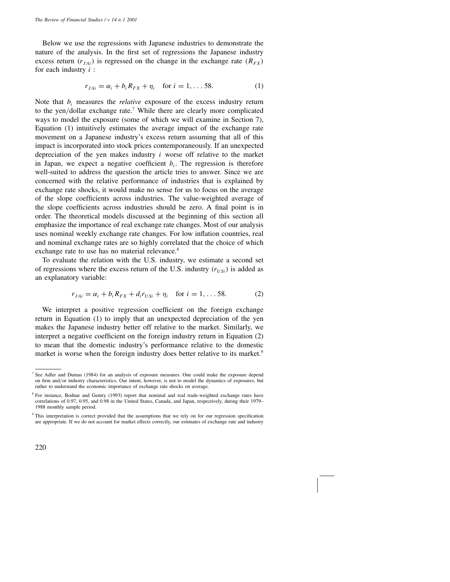Below we use the regressions with Japanese industries to demonstrate the nature of the analysis. In the first set of regressions the Japanese industry excess return  $(r_{JAi})$  is regressed on the change in the exchange rate  $(R_{FX})$ for each industry  $i$ :

$$
r_{JAi} = \alpha_i + b_i R_{FX} + \eta_i \quad \text{for } i = 1, \dots 58. \tag{1}
$$

Note that  $b_i$  measures the *relative* exposure of the excess industry return to the yen/dollar exchange rate.7 While there are clearly more complicated ways to model the exposure (some of which we will examine in Section 7), Equation (1) intuitively estimates the average impact of the exchange rate movement on a Japanese industry's excess return assuming that all of this impact is incorporated into stock prices contemporaneously. If an unexpected depreciation of the yen makes industry  $i$  worse off relative to the market in Japan, we expect a negative coefficient  $b_i$ . The regression is therefore well-suited to address the question the article tries to answer. Since we are concerned with the relative performance of industries that is explained by exchange rate shocks, it would make no sense for us to focus on the average of the slope coefficients across industries. The value-weighted average of the slope coefficients across industries should be zero. A final point is in order. The theoretical models discussed at the beginning of this section all emphasize the importance of real exchange rate changes. Most of our analysis uses nominal weekly exchange rate changes. For low inflation countries, real and nominal exchange rates are so highly correlated that the choice of which exchange rate to use has no material relevance.<sup>8</sup>

To evaluate the relation with the U.S. industry, we estimate a second set of regressions where the excess return of the U.S. industry  $(r_{USi})$  is added as an explanatory variable:

$$
r_{JAi} = \alpha_i + b_i R_{FX} + d_i r_{USi} + \eta_i \quad \text{for } i = 1, \dots 58. \tag{2}
$$

We interpret a positive regression coefficient on the foreign exchange return in Equation (1) to imply that an unexpected depreciation of the yen makes the Japanese industry better off relative to the market. Similarly, we interpret a negative coefficient on the foreign industry return in Equation (2) to mean that the domestic industry's performance relative to the domestic market is worse when the foreign industry does better relative to its market.<sup>9</sup>

<sup>7</sup> See Adler and Dumas (1984) for an analysis of exposure measures. One could make the exposure depend on firm and/or industry characteristics. Our intent, however, is not to model the dynamics of exposures, but rather to understand the economic importance of exchange rate shocks on average.

<sup>8</sup> For instance, Bodnar and Gentry (1993) report that nominal and real trade-weighted exchange rates have correlations of 0.97, 0.95, and 0.98 in the United States, Canada, and Japan, respectively, during their 1979– 1988 monthly sample period.

<sup>&</sup>lt;sup>9</sup> This interpretation is correct provided that the assumptions that we rely on for our regression specification are appropriate. If we do not account for market effects correctly, our estimates of exchange rate and industry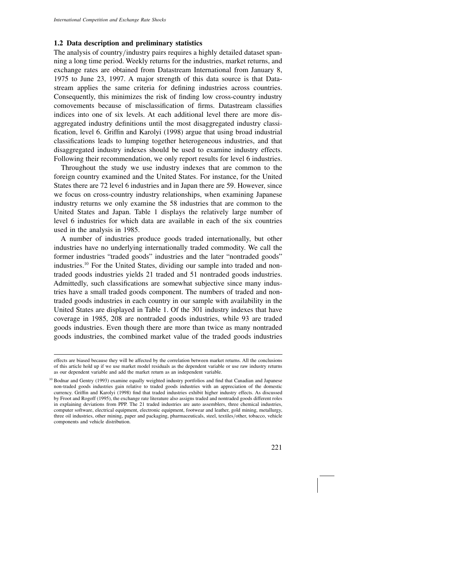# **1.2 Data description and preliminary statistics**

The analysis of country/industry pairs requires a highly detailed dataset spanning a long time period. Weekly returns for the industries, market returns, and exchange rates are obtained from Datastream International from January 8, 1975 to June 23, 1997. A major strength of this data source is that Datastream applies the same criteria for defining industries across countries. Consequently, this minimizes the risk of finding low cross-country industry comovements because of misclassification of firms. Datastream classifies indices into one of six levels. At each additional level there are more disaggregated industry definitions until the most disaggregated industry classification, level 6. Griffin and Karolyi (1998) argue that using broad industrial classifications leads to lumping together heterogeneous industries, and that disaggregated industry indexes should be used to examine industry effects. Following their recommendation, we only report results for level 6 industries.

Throughout the study we use industry indexes that are common to the foreign country examined and the United States. For instance, for the United States there are 72 level 6 industries and in Japan there are 59. However, since we focus on cross-country industry relationships, when examining Japanese industry returns we only examine the 58 industries that are common to the United States and Japan. Table 1 displays the relatively large number of level 6 industries for which data are available in each of the six countries used in the analysis in 1985.

A number of industries produce goods traded internationally, but other industries have no underlying internationally traded commodity. We call the former industries "traded goods" industries and the later "nontraded goods" industries.10 For the United States, dividing our sample into traded and nontraded goods industries yields 21 traded and 51 nontraded goods industries. Admittedly, such classifications are somewhat subjective since many industries have a small traded goods component. The numbers of traded and nontraded goods industries in each country in our sample with availability in the United States are displayed in Table 1. Of the 301 industry indexes that have coverage in 1985, 208 are nontraded goods industries, while 93 are traded goods industries. Even though there are more than twice as many nontraded goods industries, the combined market value of the traded goods industries

effects are biased because they will be affected by the correlation between market returns. All the conclusions of this article hold up if we use market model residuals as the dependent variable or use raw industry returns as our dependent variable and add the market return as an independent variable.

<sup>&</sup>lt;sup>10</sup> Bodnar and Gentry (1993) examine equally weighted industry portfolios and find that Canadian and Japanese non-traded goods industries gain relative to traded goods industries with an appreciation of the domestic currency. Griffin and Karolyi (1998) find that traded industries exhibit higher industry effects. As discussed by Froot and Rogoff (1995), the exchange rate literature also assigns traded and nontraded goods different roles in explaining deviations from PPP. The 21 traded industries are auto assemblers, three chemical industries, computer software, electrical equipment, electronic equipment, footwear and leather, gold mining, metallurgy, three oil industries, other mining, paper and packaging, pharmaceuticals, steel, textiles/other, tobacco, vehicle components and vehicle distribution.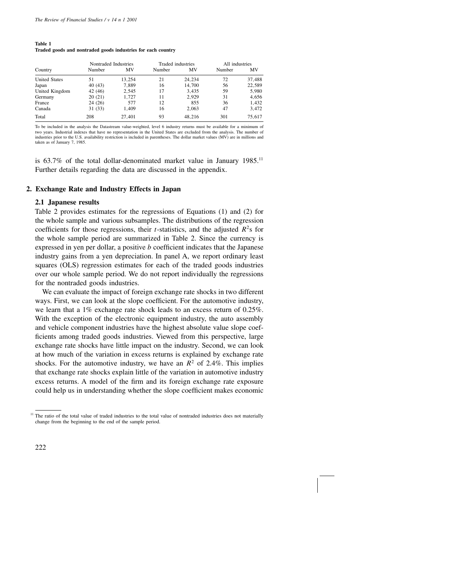|                      | Nontraded Industries |        |        | Traded industries | All industries |        |
|----------------------|----------------------|--------|--------|-------------------|----------------|--------|
| Country              | Number               | MV     | Number | MV                | Number         | MV     |
| <b>United States</b> | 51                   | 13.254 | 21     | 24.234            | 72             | 37.488 |
| Japan                | 40 (43)              | 7.889  | 16     | 14.700            | 56             | 22,589 |
| United Kingdom       | 42 (46)              | 2,545  | 17     | 3,435             | 59             | 5,980  |
| Germany              | 20(21)               | 1.727  | 11     | 2.929             | 31             | 4.656  |
| France               | 24(26)               | 577    | 12     | 855               | 36             | 1,432  |
| Canada               | 31 (33)              | 1.409  | 16     | 2.063             | 47             | 3,472  |
| Total                | 208                  | 27.401 | 93     | 48.216            | 301            | 75.617 |

#### **Table 1 Traded goods and nontraded goods industries for each country**

To be included in the analysis the Datastream value-weighted, level 6 industry returns must be available for a minimum of two years. Industrial indexes that have no representation in the United States are excluded from the analysis. The number of industries prior to the U.S. availability restriction is included in parentheses. The dollar market values (MV) are in millions and taken as of January 7, 1985.

is 63.7% of the total dollar-denominated market value in January 1985.<sup>11</sup> Further details regarding the data are discussed in the appendix.

## **2. Exchange Rate and Industry Effects in Japan**

# **2.1 Japanese results**

Table 2 provides estimates for the regressions of Equations (1) and (2) for the whole sample and various subsamples. The distributions of the regression coefficients for those regressions, their *t*-statistics, and the adjusted  $R^2$ s for the whole sample period are summarized in Table 2. Since the currency is expressed in yen per dollar, a positive b coefficient indicates that the Japanese industry gains from a yen depreciation. In panel A, we report ordinary least squares (OLS) regression estimates for each of the traded goods industries over our whole sample period. We do not report individually the regressions for the nontraded goods industries.

We can evaluate the impact of foreign exchange rate shocks in two different ways. First, we can look at the slope coefficient. For the automotive industry, we learn that a 1% exchange rate shock leads to an excess return of 0.25%. With the exception of the electronic equipment industry, the auto assembly and vehicle component industries have the highest absolute value slope coefficients among traded goods industries. Viewed from this perspective, large exchange rate shocks have little impact on the industry. Second, we can look at how much of the variation in excess returns is explained by exchange rate shocks. For the automotive industry, we have an  $R^2$  of 2.4%. This implies that exchange rate shocks explain little of the variation in automotive industry excess returns. A model of the firm and its foreign exchange rate exposure could help us in understanding whether the slope coefficient makes economic

<sup>&</sup>lt;sup>11</sup> The ratio of the total value of traded industries to the total value of nontraded industries does not materially change from the beginning to the end of the sample period.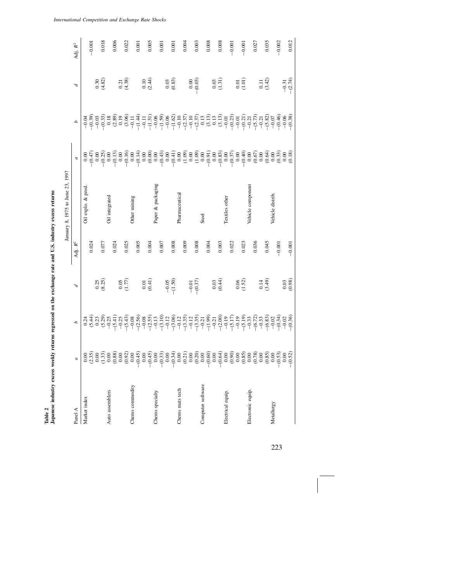|                   |   |   |                                             |            | January 8, 1975 to June 23, 1997 |   |                                                                                                                                                                                                                                  |                                                   |            |
|-------------------|---|---|---------------------------------------------|------------|----------------------------------|---|----------------------------------------------------------------------------------------------------------------------------------------------------------------------------------------------------------------------------------|---------------------------------------------------|------------|
| Panel A           | a | 4 | Þ                                           | Adj. $R^2$ |                                  | a | م                                                                                                                                                                                                                                | P                                                 | Adj. $R^2$ |
| Market index      |   |   |                                             |            | Oil explo. & prod                |   |                                                                                                                                                                                                                                  |                                                   |            |
|                   |   |   |                                             | 0.024      |                                  |   |                                                                                                                                                                                                                                  |                                                   | $-0.001$   |
|                   |   |   |                                             |            |                                  |   |                                                                                                                                                                                                                                  |                                                   |            |
|                   |   |   | $\frac{0.25}{(8.25)}$                       | 0.077      |                                  |   |                                                                                                                                                                                                                                  | $\frac{0.30}{(4.82)}$                             | 0.018      |
| Auto assemblers   |   |   |                                             |            | Oil integrated                   |   |                                                                                                                                                                                                                                  |                                                   |            |
|                   |   |   |                                             | 0.024      |                                  |   |                                                                                                                                                                                                                                  |                                                   | 0.006      |
|                   |   |   |                                             |            |                                  |   |                                                                                                                                                                                                                                  |                                                   |            |
|                   |   |   | $\frac{0.05}{(1.77)}$                       | 0.025      |                                  |   | ဒ နာရာရှိ " နာရာရွိ ချိန် ချိန် မိုင်း မိုင်း မိုင်း မိုင်း မိုင်း မိုင်း မိုင်း မိုင်း မိုင်း မိုင်း မိုင်း မ<br>ဒုံမိုင်း မိုင်း မိုင်း မိုင်း မိုင်း မိုင်း မိုင်း မိုင်း မိုင်း မိုင်း မိုင်း မိုင်း မိုင်း မိုင်း မိုင်း မိ | $\frac{0.21}{(4.38)}$                             | 0.022      |
| Chems commodity   |   |   |                                             |            | Other mining                     |   |                                                                                                                                                                                                                                  |                                                   |            |
|                   |   |   |                                             | 0.005      |                                  |   |                                                                                                                                                                                                                                  |                                                   | 0.001      |
|                   |   |   | $0.01$                                      |            |                                  |   |                                                                                                                                                                                                                                  | $0.10$<br>$(2.44)$                                |            |
|                   |   |   | (0.41)                                      | 0.004      |                                  |   |                                                                                                                                                                                                                                  |                                                   | 0.005      |
| Chems specialty   |   |   |                                             |            | Paper & packaging                |   |                                                                                                                                                                                                                                  |                                                   |            |
|                   |   |   |                                             | 0.007      |                                  |   |                                                                                                                                                                                                                                  |                                                   | 0.001      |
|                   |   |   |                                             |            |                                  |   |                                                                                                                                                                                                                                  |                                                   |            |
|                   |   |   | $-0.05$<br>$- (1.50)$                       | 0.008      |                                  |   |                                                                                                                                                                                                                                  | $\frac{0.03}{0.83}$                               | 0.001      |
| Chems mats tech   |   |   |                                             |            | Pharmaceutical                   |   |                                                                                                                                                                                                                                  |                                                   |            |
|                   |   |   |                                             | 0.009      |                                  |   |                                                                                                                                                                                                                                  |                                                   | 0.004      |
|                   |   |   | $-0.01$                                     |            |                                  |   |                                                                                                                                                                                                                                  | (0.00)                                            |            |
|                   |   |   | $- (0.37)$                                  | 0.008      |                                  |   |                                                                                                                                                                                                                                  |                                                   | 0.003      |
| Computer software |   |   |                                             |            | Steel                            |   |                                                                                                                                                                                                                                  |                                                   |            |
|                   |   |   |                                             | 0.004      |                                  |   |                                                                                                                                                                                                                                  |                                                   | 0.008      |
|                   |   |   |                                             |            |                                  |   |                                                                                                                                                                                                                                  |                                                   |            |
|                   |   |   | $0.03$<br>$(0.44)$                          | 0.003      |                                  |   |                                                                                                                                                                                                                                  | $\begin{array}{c} 0.03 \\ (1.31) \end{array}$     | 0.008      |
| Electrical equip. |   |   |                                             |            | Textiles other                   |   |                                                                                                                                                                                                                                  |                                                   |            |
|                   |   |   |                                             | 0.022      |                                  |   |                                                                                                                                                                                                                                  |                                                   | $-0.001$   |
|                   |   |   |                                             |            |                                  |   |                                                                                                                                                                                                                                  |                                                   |            |
|                   |   |   | 0.52                                        | 0.023      |                                  |   |                                                                                                                                                                                                                                  | $\begin{array}{c} 0.01 \\[-4pt] 0.01 \end{array}$ | $-0.001$   |
| Electronic equip. |   |   |                                             |            | Vehicle component                |   |                                                                                                                                                                                                                                  |                                                   |            |
|                   |   |   |                                             | 0.036      |                                  |   |                                                                                                                                                                                                                                  |                                                   | 0.027      |
|                   |   |   |                                             |            |                                  |   |                                                                                                                                                                                                                                  |                                                   |            |
|                   |   |   | $0.14$<br>$(3.49)$                          | 0.045      |                                  |   |                                                                                                                                                                                                                                  | $0.11$<br>$(3.42)$                                | 0.035      |
| Metallurgy        |   |   |                                             |            | Vehicle distrib.                 |   |                                                                                                                                                                                                                                  |                                                   |            |
|                   |   |   |                                             | $-0.001$   |                                  |   |                                                                                                                                                                                                                                  |                                                   | $-0.002$   |
|                   |   |   | $\begin{array}{c} 0.03 \\ 0.98 \end{array}$ |            |                                  |   |                                                                                                                                                                                                                                  |                                                   |            |
|                   |   |   |                                             | $-0.001$   |                                  |   |                                                                                                                                                                                                                                  | $-0.31$<br>$- (2.74)$                             | 0.012      |

Table 2<br>Japanese industry excess weekly returns regressed on the exchange rate and U.S. industry excess returns<br> $\lambda$ Japanese industry excess weekly returns regressed on the exchange rate and U.S. industry excess returns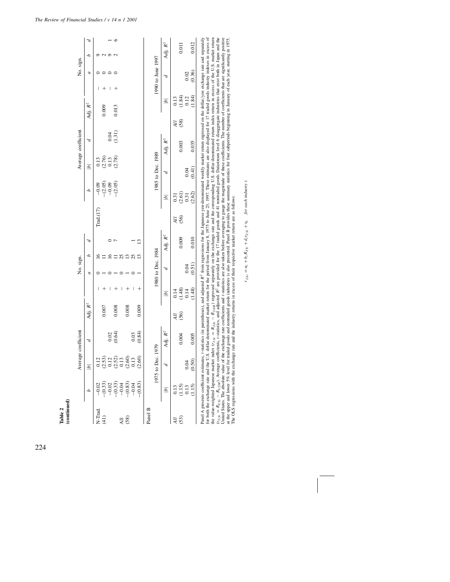| (continued)<br>Table 2 |                                                                                                         |                             |                                                                                                                                                                                                                                                                                                                                                                                                                                                                                                                                                                                                                                                                                                                                                                                                                                                                                                                                                                                                                                                                                                                                                                                                                                                                                                                                                                                                                                                              |                     |                |                   |                     |            |                                                         |                               |                      |                     |                     |                |                   |                     |   |
|------------------------|---------------------------------------------------------------------------------------------------------|-----------------------------|--------------------------------------------------------------------------------------------------------------------------------------------------------------------------------------------------------------------------------------------------------------------------------------------------------------------------------------------------------------------------------------------------------------------------------------------------------------------------------------------------------------------------------------------------------------------------------------------------------------------------------------------------------------------------------------------------------------------------------------------------------------------------------------------------------------------------------------------------------------------------------------------------------------------------------------------------------------------------------------------------------------------------------------------------------------------------------------------------------------------------------------------------------------------------------------------------------------------------------------------------------------------------------------------------------------------------------------------------------------------------------------------------------------------------------------------------------------|---------------------|----------------|-------------------|---------------------|------------|---------------------------------------------------------|-------------------------------|----------------------|---------------------|---------------------|----------------|-------------------|---------------------|---|
|                        |                                                                                                         |                             | Average coefficient                                                                                                                                                                                                                                                                                                                                                                                                                                                                                                                                                                                                                                                                                                                                                                                                                                                                                                                                                                                                                                                                                                                                                                                                                                                                                                                                                                                                                                          |                     |                | No. sign.         |                     |            |                                                         |                               | Average coefficient  |                     |                     |                | No. sign.         |                     |   |
|                        | d                                                                                                       | $\overline{a}$              | Þ                                                                                                                                                                                                                                                                                                                                                                                                                                                                                                                                                                                                                                                                                                                                                                                                                                                                                                                                                                                                                                                                                                                                                                                                                                                                                                                                                                                                                                                            | Adj. R <sup>2</sup> |                | a                 | P<br>d              |            |                                                         | 4                             | $\overline{d}$       | Þ                   | Adj. R <sup>2</sup> |                | a                 | d                   | d |
| $N$ -Trad              | $-0.33$<br>$-0.02$                                                                                      | 2.53)<br>0.12<br>0.12       | 0.02                                                                                                                                                                                                                                                                                                                                                                                                                                                                                                                                                                                                                                                                                                                                                                                                                                                                                                                                                                                                                                                                                                                                                                                                                                                                                                                                                                                                                                                         | 0.007               |                |                   | ≌                   | Trad.(17)  |                                                         | $-2.05$<br>$-0.09$<br>$-0.09$ | 0.13<br>0.13<br>0.13 | 0.04                | 0.009               |                | $\circ$           | $\circ$<br>$\sim$   |   |
|                        | 유명 8<br>유명<br>이후 이후                                                                                     | 2.52)<br>0.13               | (0.64)                                                                                                                                                                                                                                                                                                                                                                                                                                                                                                                                                                                                                                                                                                                                                                                                                                                                                                                                                                                                                                                                                                                                                                                                                                                                                                                                                                                                                                                       | 0.008               |                |                   | Þ<br>SS             |            |                                                         | $-(2.05)$                     | (2.78)               | (1.31)              | 0.013               | $^+$           | $\circ$           |                     | ی |
| (58)                   |                                                                                                         | 2.60)<br>0.13               | 0.03                                                                                                                                                                                                                                                                                                                                                                                                                                                                                                                                                                                                                                                                                                                                                                                                                                                                                                                                                                                                                                                                                                                                                                                                                                                                                                                                                                                                                                                         | 0.008               |                |                   | $\mathbf{r}$<br>25  |            |                                                         |                               |                      |                     |                     |                |                   |                     |   |
|                        | (0.83)                                                                                                  | 2.60)                       | (0.84)                                                                                                                                                                                                                                                                                                                                                                                                                                                                                                                                                                                                                                                                                                                                                                                                                                                                                                                                                                                                                                                                                                                                                                                                                                                                                                                                                                                                                                                       | 0.009               |                |                   | 13<br>Ω             |            |                                                         |                               |                      |                     |                     |                |                   |                     |   |
| Panel B                |                                                                                                         | Dec. 1979<br>1975 to        |                                                                                                                                                                                                                                                                                                                                                                                                                                                                                                                                                                                                                                                                                                                                                                                                                                                                                                                                                                                                                                                                                                                                                                                                                                                                                                                                                                                                                                                              |                     |                | 1980 to Dec. 1984 |                     |            |                                                         | 1985 to Dec. 1989             |                      |                     |                     |                | 1990 to June 1997 |                     |   |
|                        | $\frac{d}{2}$                                                                                           |                             | Adj. R <sup>2</sup>                                                                                                                                                                                                                                                                                                                                                                                                                                                                                                                                                                                                                                                                                                                                                                                                                                                                                                                                                                                                                                                                                                                                                                                                                                                                                                                                                                                                                                          |                     | $\overline{q}$ | P                 | Adj. R <sup>2</sup> |            | $\overline{d}$                                          | P                             |                      | Adj. R <sup>2</sup> |                     | $\frac{1}{2}$  | ᠴ                 | Adj. R <sup>2</sup> |   |
| (53)<br>Ηl             | 0.13                                                                                                    |                             | 0.004                                                                                                                                                                                                                                                                                                                                                                                                                                                                                                                                                                                                                                                                                                                                                                                                                                                                                                                                                                                                                                                                                                                                                                                                                                                                                                                                                                                                                                                        | (56)<br>Άl          | (1.48)<br>0.14 |                   | 0.009               | (56)<br>Яl | 0.31                                                    |                               |                      | 0.003               | (58)<br>Άl          | (1.84)<br>0.13 |                   | 0.011               |   |
|                        | $\begin{array}{c} (1.15) \\ 0.13 \end{array}$<br>(1.15)                                                 | $\overline{50}$<br>S.<br>Ġ. | 0.005                                                                                                                                                                                                                                                                                                                                                                                                                                                                                                                                                                                                                                                                                                                                                                                                                                                                                                                                                                                                                                                                                                                                                                                                                                                                                                                                                                                                                                                        |                     | (1.48)<br>0.14 | (0.51)<br>0.04    | 0.010               |            | $\begin{array}{c} (2.61) \\ 0.31 \end{array}$<br>(2.62) | (0.41)<br>0.04                |                      | 0.035               |                     | (1.84)<br>0.12 | (0.36)<br>0.02    | 0.012               |   |
|                        | at the upper and lower 5% level<br>for both the exchange rate and t<br>United States. The absolute valu |                             | e of the exchange rate coefficients and <i>t</i> -statistics are also taken before averaging to gauge the magnitude of these coefficients. The number of coefficients that are significantly positive<br>Panel A presents coefficient estimates, <i>t</i> -statistics (in parentheses), and adjusted R <sup>2</sup> from regressions for the Japanese yen-denominated weekly market return regressed on the dollar/yen exchange rate and separately<br>he U.S. dollar denominated market return for the period from January 8, 1975 to June 23, 1997. These estimates are also displayed for 17 traded goods industry indexes in excess of<br>$(r_{DS1} = R_{USH})$ . Average coefficients, t-statistics, and adjusted R <sup>2</sup> are provided for the 17 traded goods and 41 nontraded goods Datastream level 6 disaggregate industries that exist both in Japan and the<br>the value-weighted Japanese market index $(r_{jA}$ = $R_{jA}$ = $R_{jA}$ = $R_{jA}$ = $R_{jA}$ = $r_{A}$ = $r_{A}$ = $r_{A}$ = $r_{A}$ = $r_{A}$ = $r_{A}$ = $r_{A}$ = $r_{A}$ = $r_{A}$ = $r_{A}$ = $r_{A}$ = $r_{B}$ was exed as expansion by<br>for traded goods and nontraded goods industries is also presented. Panel B provides these summary statistics for four subperiods beginning in January of each year, starting in 1975.<br>The OLS regressions with the exchange rate and the industry returns in excess of their respective market return are as follows: |                     |                |                   |                     |            |                                                         |                               |                      |                     |                     |                |                   |                     |   |

| į         |
|-----------|
| ð         |
| ä         |
| ┥         |
| ĝ<br>i    |
| ł         |
| í         |
|           |
| $\ddot{}$ |
| ਬੋ        |
| Ī         |
|           |

 ${\bf Table ~2} \label{eq:2}$   $({\bf continued})$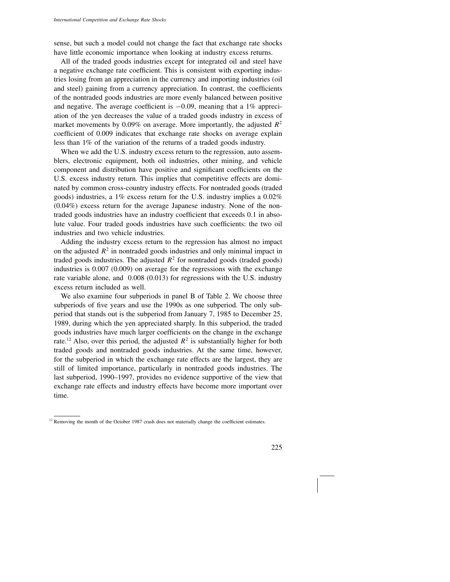sense, but such a model could not change the fact that exchange rate shocks have little economic importance when looking at industry excess returns.

All of the traded goods industries except for integrated oil and steel have a negative exchange rate coefficient. This is consistent with exporting industries losing from an appreciation in the currency and importing industries (oil and steel) gaining from a currency appreciation. In contrast, the coefficients of the nontraded goods industries are more evenly balanced between positive and negative. The average coefficient is −0.09, meaning that a 1% appreciation of the yen decreases the value of a traded goods industry in excess of market movements by 0.09% on average. More importantly, the adjusted  $R^2$ coefficient of 0.009 indicates that exchange rate shocks on average explain less than 1% of the variation of the returns of a traded goods industry.

When we add the U.S. industry excess return to the regression, auto assemblers, electronic equipment, both oil industries, other mining, and vehicle component and distribution have positive and significant coefficients on the U.S. excess industry return. This implies that competitive effects are dominated by common cross-country industry effects. For nontraded goods (traded goods) industries, a 1% excess return for the U.S. industry implies a 0.02% (0.04%) excess return for the average Japanese industry. None of the nontraded goods industries have an industry coefficient that exceeds 0.1 in absolute value. Four traded goods industries have such coefficients: the two oil industries and two vehicle industries.

Adding the industry excess return to the regression has almost no impact on the adjusted  $R^2$  in nontraded goods industries and only minimal impact in traded goods industries. The adjusted  $R^2$  for nontraded goods (traded goods) industries is 0.007 (0.009) on average for the regressions with the exchange rate variable alone, and 0.008 (0.013) for regressions with the U.S. industry excess return included as well.

We also examine four subperiods in panel B of Table 2. We choose three subperiods of five years and use the 1990s as one subperiod. The only subperiod that stands out is the subperiod from January 7, 1985 to December 25, 1989, during which the yen appreciated sharply. In this subperiod, the traded goods industries have much larger coefficients on the change in the exchange rate.<sup>12</sup> Also, over this period, the adjusted  $R^2$  is substantially higher for both traded goods and nontraded goods industries. At the same time, however, for the subperiod in which the exchange rate effects are the largest, they are still of limited importance, particularly in nontraded goods industries. The last subperiod, 1990–1997, provides no evidence supportive of the view that exchange rate effects and industry effects have become more important over time.

<sup>&</sup>lt;sup>12</sup> Removing the month of the October 1987 crash does not materially change the coefficient estimates.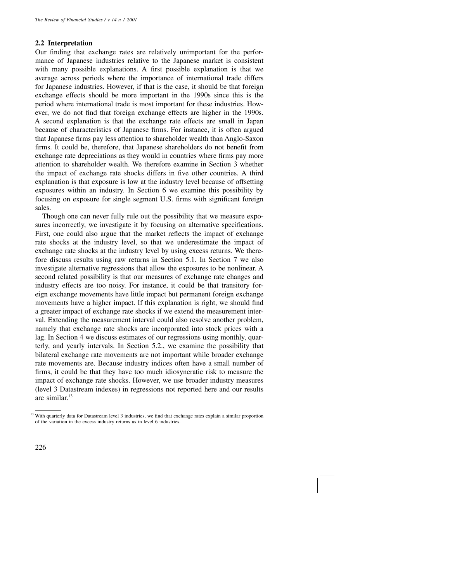# **2.2 Interpretation**

Our finding that exchange rates are relatively unimportant for the performance of Japanese industries relative to the Japanese market is consistent with many possible explanations. A first possible explanation is that we average across periods where the importance of international trade differs for Japanese industries. However, if that is the case, it should be that foreign exchange effects should be more important in the 1990s since this is the period where international trade is most important for these industries. However, we do not find that foreign exchange effects are higher in the 1990s. A second explanation is that the exchange rate effects are small in Japan because of characteristics of Japanese firms. For instance, it is often argued that Japanese firms pay less attention to shareholder wealth than Anglo-Saxon firms. It could be, therefore, that Japanese shareholders do not benefit from exchange rate depreciations as they would in countries where firms pay more attention to shareholder wealth. We therefore examine in Section 3 whether the impact of exchange rate shocks differs in five other countries. A third explanation is that exposure is low at the industry level because of offsetting exposures within an industry. In Section 6 we examine this possibility by focusing on exposure for single segment U.S. firms with significant foreign sales.

Though one can never fully rule out the possibility that we measure exposures incorrectly, we investigate it by focusing on alternative specifications. First, one could also argue that the market reflects the impact of exchange rate shocks at the industry level, so that we underestimate the impact of exchange rate shocks at the industry level by using excess returns. We therefore discuss results using raw returns in Section 5.1. In Section 7 we also investigate alternative regressions that allow the exposures to be nonlinear. A second related possibility is that our measures of exchange rate changes and industry effects are too noisy. For instance, it could be that transitory foreign exchange movements have little impact but permanent foreign exchange movements have a higher impact. If this explanation is right, we should find a greater impact of exchange rate shocks if we extend the measurement interval. Extending the measurement interval could also resolve another problem, namely that exchange rate shocks are incorporated into stock prices with a lag. In Section 4 we discuss estimates of our regressions using monthly, quarterly, and yearly intervals. In Section 5.2., we examine the possibility that bilateral exchange rate movements are not important while broader exchange rate movements are. Because industry indices often have a small number of firms, it could be that they have too much idiosyncratic risk to measure the impact of exchange rate shocks. However, we use broader industry measures (level 3 Datastream indexes) in regressions not reported here and our results are similar.13

<sup>&</sup>lt;sup>13</sup> With quarterly data for Datastream level 3 industries, we find that exchange rates explain a similar proportion of the variation in the excess industry returns as in level 6 industries.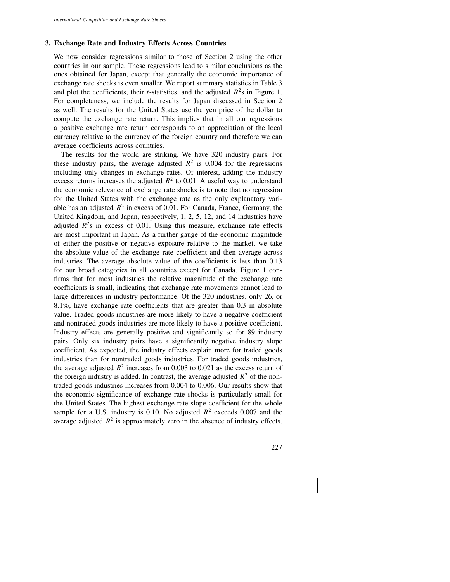# **3. Exchange Rate and Industry Effects Across Countries**

We now consider regressions similar to those of Section 2 using the other countries in our sample. These regressions lead to similar conclusions as the ones obtained for Japan, except that generally the economic importance of exchange rate shocks is even smaller. We report summary statistics in Table 3 and plot the coefficients, their *t*-statistics, and the adjusted  $R^2$ s in Figure 1. For completeness, we include the results for Japan discussed in Section 2 as well. The results for the United States use the yen price of the dollar to compute the exchange rate return. This implies that in all our regressions a positive exchange rate return corresponds to an appreciation of the local currency relative to the currency of the foreign country and therefore we can average coefficients across countries.

The results for the world are striking. We have 320 industry pairs. For these industry pairs, the average adjusted  $R^2$  is 0.004 for the regressions including only changes in exchange rates. Of interest, adding the industry excess returns increases the adjusted  $R^2$  to 0.01. A useful way to understand the economic relevance of exchange rate shocks is to note that no regression for the United States with the exchange rate as the only explanatory variable has an adjusted  $R^2$  in excess of 0.01. For Canada, France, Germany, the United Kingdom, and Japan, respectively, 1, 2, 5, 12, and 14 industries have adjusted  $R^2$ s in excess of 0.01. Using this measure, exchange rate effects are most important in Japan. As a further gauge of the economic magnitude of either the positive or negative exposure relative to the market, we take the absolute value of the exchange rate coefficient and then average across industries. The average absolute value of the coefficients is less than 0.13 for our broad categories in all countries except for Canada. Figure 1 confirms that for most industries the relative magnitude of the exchange rate coefficients is small, indicating that exchange rate movements cannot lead to large differences in industry performance. Of the 320 industries, only 26, or 8.1%, have exchange rate coefficients that are greater than 0.3 in absolute value. Traded goods industries are more likely to have a negative coefficient and nontraded goods industries are more likely to have a positive coefficient. Industry effects are generally positive and significantly so for 89 industry pairs. Only six industry pairs have a significantly negative industry slope coefficient. As expected, the industry effects explain more for traded goods industries than for nontraded goods industries. For traded goods industries, the average adjusted  $R^2$  increases from 0.003 to 0.021 as the excess return of the foreign industry is added. In contrast, the average adjusted  $R^2$  of the nontraded goods industries increases from 0.004 to 0.006. Our results show that the economic significance of exchange rate shocks is particularly small for the United States. The highest exchange rate slope coefficient for the whole sample for a U.S. industry is 0.10. No adjusted  $R^2$  exceeds 0.007 and the average adjusted  $R^2$  is approximately zero in the absence of industry effects.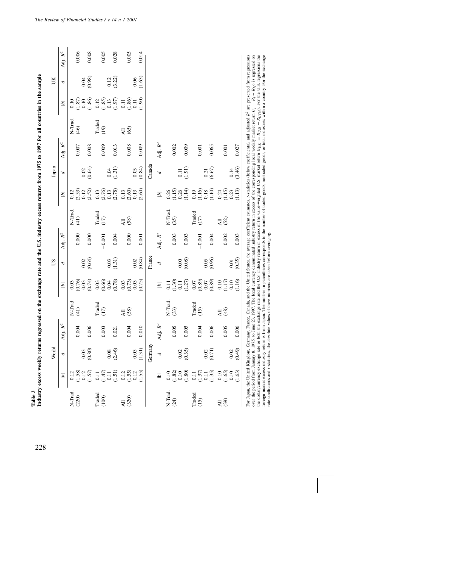|                         |                                                                     | World              |               |                              |                                                       | SU                                          |                     |                                                             |                                                    | Japan                                                                       |                         |                        |                                            | UK                 |                        |
|-------------------------|---------------------------------------------------------------------|--------------------|---------------|------------------------------|-------------------------------------------------------|---------------------------------------------|---------------------|-------------------------------------------------------------|----------------------------------------------------|-----------------------------------------------------------------------------|-------------------------|------------------------|--------------------------------------------|--------------------|------------------------|
|                         | $\vert d \vert$                                                     | Д                  | $R^2$<br>Adj. |                              | $\overline{q}$                                        | д                                           | Adj. $\mathbb{R}^2$ |                                                             | $\vert d \vert$                                    | Д                                                                           | R <sup>2</sup><br>Ādj.  |                        | 희                                          | д                  | $\mathbb{R}^2$<br>Adj. |
| N-Trad.<br>(220)        |                                                                     |                    | 0.004         | N-Trad.<br>(14)              |                                                       |                                             | 0.000               | N-Trad.                                                     |                                                    |                                                                             | 0.007                   | N-Trad.<br>(46)        |                                            |                    | 0.006                  |
|                         | $\begin{array}{c} 12 \\ 0.58 \\ 0.57 \\ 0.57 \end{array}$           | (0.80)<br>0.03     | 0.006         |                              | 0.9<br>0.9<br>0.9<br>0.9<br>0.9                       | (0.64)<br>$0.02\,$                          | 0.000               |                                                             |                                                    | (0.64)<br>0.02                                                              | 0.008                   |                        | $0.10$<br>$(1.87)$<br>$(1.86)$<br>$(1.86)$ | (0.98)<br>0.04     | 0.008                  |
| Traded<br>(100)         |                                                                     |                    | 0.003         | $\operatorname{Traded}$ (17) | 0.03                                                  |                                             | $-0.001$            | $\begin{array}{l} {\rm Traded} \\ (17) \end{array}$         |                                                    |                                                                             | 0.009                   | Traded<br>(19)         |                                            |                    | 0.005                  |
|                         | $\begin{array}{c} 11 \\ 14 \\ 0 \\ 15 \\ 0 \\ 1.5 \end{array}$      | (2.46)<br>0.08     | 0.021         |                              | $0.66$<br>$0.78$<br>$0.78$                            | (1.31)<br>0.03                              | 0.004               |                                                             | $0.13$<br>$0.76$<br>$0.13$<br>$0.78$               | (1.31)<br>0.04                                                              | 0.013                   |                        | $0.12$<br>$0.13$<br>$0.97$<br>$0.97$       | $0.12$<br>$(3.22)$ | 0.028                  |
| (320)<br>$\overline{a}$ |                                                                     |                    | 0.004         | (58)<br>$\overline{a}$       | 0.03                                                  |                                             | 0.000               | (58)<br>$\overline{z}$                                      | 0.13                                               |                                                                             | 0.008                   | (65)<br>$\overline{a}$ | 0.11                                       |                    | 0.005                  |
|                         | $\begin{array}{c} 0.12 \\ 0.50 \\ 0.30 \\ \hline \end{array}$       | (1.31)<br>0.05     | 0.010         |                              | $_{0.03}^{(0.73)}$<br>(0.75)                          | (0.84)<br>$0.02\,$                          | 0.001               |                                                             | $(2.60)$<br>0.13<br>(2.60)                         | (0.84)<br>0.03                                                              | 0.009                   |                        | $\frac{1.86}{0.11}$<br>(1.90)              | (1.63)<br>0.06     | 0.014                  |
|                         |                                                                     | Germany            |               |                              |                                                       | France                                      |                     |                                                             |                                                    | Canada                                                                      |                         |                        |                                            |                    |                        |
|                         | $\overline{=}$                                                      | $\boldsymbol{p}$   | Adj. $R^2$    |                              | $ \vec{q} $                                           | $\overline{b}$                              | Adj. $\mathbb{R}^2$ |                                                             | $\overline{q}$                                     | $\overline{b}$                                                              | $\mathcal{R}^2$<br>Adj. |                        |                                            |                    |                        |
| $N$ -Trad.<br>$(24)$    | $0.820$<br>$0.300$<br>$0.80$<br>$0.80$                              |                    | 0.005         | N-Trad.<br>(33)              | $\begin{array}{c} 11 \\ 130 \\ 1.5 \end{array}$       |                                             | 0.003               | N-Trad.<br>(35)                                             | 0.158                                              |                                                                             | 0.002                   |                        |                                            |                    |                        |
|                         |                                                                     | (0.35)<br>0.02     | 0.005         |                              | (1.27)                                                | 0.00000                                     | 0.003               |                                                             | (1.14)                                             | $\begin{smallmatrix} 1 & 1 & 1 \\ 0 & 1 & 1 \\ 1 & 0 & 1 \end{smallmatrix}$ | 0.009                   |                        |                                            |                    |                        |
| Traded<br>(15)          | $\begin{array}{c} 11 \\ 1.57 \\ 0.11 \\ 0.35 \\ \hline \end{array}$ |                    | 0.004         | Traded<br>(15)               | $(0.89)$<br>0.07<br>$0.07$                            |                                             | $-0.001$            | $\begin{array}{l} \text{Traded} \\ \text{(17)} \end{array}$ | 0.16)<br>0.16<br>0.10<br>0.10                      |                                                                             | 0.001                   |                        |                                            |                    |                        |
|                         |                                                                     | (0.71)<br>0.02     | 0.006         |                              | (0.89)                                                | $\begin{array}{c} 0.05 \\ 0.96 \end{array}$ | 0.004               |                                                             |                                                    | (6.67)<br>0.21                                                              | 0.065                   |                        |                                            |                    |                        |
| (39)<br>$\overline{A}$  |                                                                     |                    | 0.005         | (48)<br>$\overline{z}$       | 0.10                                                  |                                             | 0.002               | (52)<br>$\overline{z}$                                      | 0.24                                               |                                                                             | 0.001                   |                        |                                            |                    |                        |
|                         | $0.16$<br>$0.50$<br>$0.60$<br>$0.60$                                | $0.02$<br>$(0.49)$ | 0.006         |                              | $\begin{array}{c} 1.17 \\ -1.16 \\ -1.16 \end{array}$ | $\begin{array}{c} 0.01 \\ 0.35 \end{array}$ | 0.003               |                                                             | $\begin{array}{c} 1.5 \\ 0.23 \\ 0.13 \end{array}$ | $0.14$<br>(3.46)                                                            | 0.027                   |                        |                                            |                    |                        |

over the period from January 8, 1975, to June 23, 1997. The local currency denominated industry return in excess of the corresponding local weekly market return  $(r_i = R_i - R_M)$  is regressed on the dollar/currency exchange rat over the period from January 8, 1975, to June 23, 1997. The local currency denominated industry return in excess of the corresponding local weekly market return (r<sub>i</sub> = R<sub>i</sub> − R<sub>M</sub>) is regressed on the dollar/currency exchange rate or both the exchange rate and the U.S. industry return in excess of the value-weighted U.S. market return  $(v_{USS} = R_{USS} - R_{USM})$ . For the U.S. regressions the foreign market excess industry return is from Japan. The number in parentheses corresponds to the number of traded goods, nontraded goods, or total industries within a country. For the exchange rate coefficients and t-statistics, the absolute values of these numbers are taken before averaging.

**Table**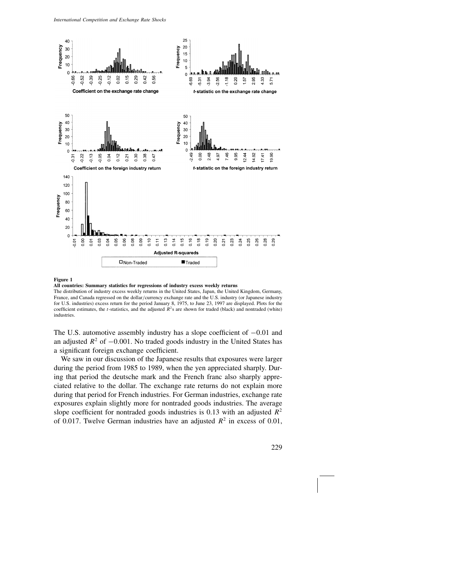

**Figure 1**

**All countries: Summary statistics for regressions of industry excess weekly returns**

The distribution of industry excess weekly returns in the United States, Japan, the United Kingdom, Germany, France, and Canada regressed on the dollar/currency exchange rate and the U.S. industry (or Japanese industry for U.S. industries) excess return for the period January 8, 1975, to June 23, 1997 are displayed. Plots for the coefficient estimates, the t-statistics, and the adjusted  $R^2$ s are shown for traded (black) and nontraded (white) industries.

The U.S. automotive assembly industry has a slope coefficient of −0.01 and an adjusted  $R^2$  of  $-0.001$ . No traded goods industry in the United States has a significant foreign exchange coefficient.

We saw in our discussion of the Japanese results that exposures were larger during the period from 1985 to 1989, when the yen appreciated sharply. During that period the deutsche mark and the French franc also sharply appreciated relative to the dollar. The exchange rate returns do not explain more during that period for French industries. For German industries, exchange rate exposures explain slightly more for nontraded goods industries. The average slope coefficient for nontraded goods industries is 0.13 with an adjusted  $R^2$ of 0.017. Twelve German industries have an adjusted  $R^2$  in excess of 0.01,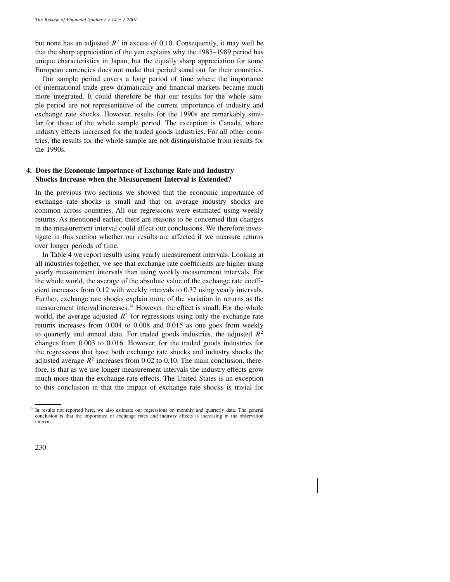but none has an adjusted  $R^2$  in excess of 0.10. Consequently, it may well be that the sharp appreciation of the yen explains why the 1985–1989 period has unique characteristics in Japan, but the equally sharp appreciation for some European currencies does not make that period stand out for their countries.

Our sample period covers a long period of time where the importance of international trade grew dramatically and financial markets became much more integrated. It could therefore be that our results for the whole sample period are not representative of the current importance of industry and exchange rate shocks. However, results for the 1990s are remarkably similar for those of the whole sample period. The exception is Canada, where industry effects increased for the traded goods industries. For all other countries, the results for the whole sample are not distinguishable from results for the 1990s.

# **4. Does the Economic Importance of Exchange Rate and Industry Shocks Increase when the Measurement Interval is Extended?**

In the previous two sections we showed that the economic importance of exchange rate shocks is small and that on average industry shocks are common across countries. All our regressions were estimated using weekly returns. As mentioned earlier, there are reasons to be concerned that changes in the measurement interval could affect our conclusions. We therefore investigate in this section whether our results are affected if we measure returns over longer periods of time.

In Table 4 we report results using yearly measurement intervals. Looking at all industries together, we see that exchange rate coefficients are higher using yearly measurement intervals than using weekly measurement intervals. For the whole world, the average of the absolute value of the exchange rate coefficient increases from 0.12 with weekly intervals to 0.37 using yearly intervals. Further, exchange rate shocks explain more of the variation in returns as the measurement interval increases.<sup>14</sup> However, the effect is small. For the whole world, the average adjusted  $R^2$  for regressions using only the exchange rate returns increases from 0.004 to 0.008 and 0.015 as one goes from weekly to quarterly and annual data. For traded goods industries, the adjusted  $R^2$ changes from 0.003 to 0.016. However, for the traded goods industries for the regressions that have both exchange rate shocks and industry shocks the adjusted average  $R^2$  increases from 0.02 to 0.10. The main conclusion, therefore, is that as we use longer measurement intervals the industry effects grow much more than the exchange rate effects. The United States is an exception to this conclusion in that the impact of exchange rate shocks is trivial for

<sup>&</sup>lt;sup>14</sup> In results not reported here, we also estimate our regressions on monthly and quarterly data. The general conclusion is that the importance of exchange rates and industry effects is increasing in the observation interval.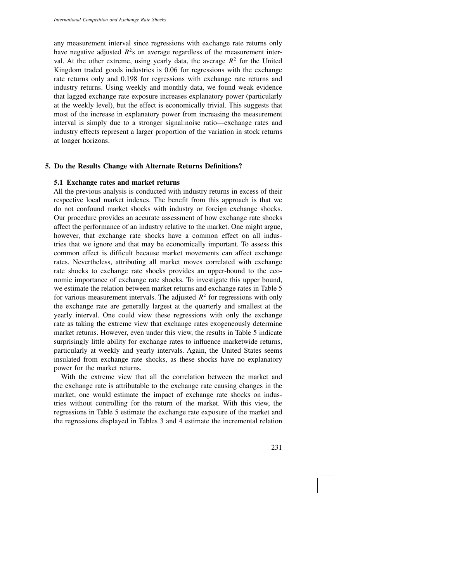any measurement interval since regressions with exchange rate returns only have negative adjusted  $R^2$ s on average regardless of the measurement interval. At the other extreme, using yearly data, the average  $R^2$  for the United Kingdom traded goods industries is 0.06 for regressions with the exchange rate returns only and 0.198 for regressions with exchange rate returns and industry returns. Using weekly and monthly data, we found weak evidence that lagged exchange rate exposure increases explanatory power (particularly at the weekly level), but the effect is economically trivial. This suggests that most of the increase in explanatory power from increasing the measurement interval is simply due to a stronger signal:noise ratio—exchange rates and industry effects represent a larger proportion of the variation in stock returns at longer horizons.

# **5. Do the Results Change with Alternate Returns Definitions?**

## **5.1 Exchange rates and market returns**

All the previous analysis is conducted with industry returns in excess of their respective local market indexes. The benefit from this approach is that we do not confound market shocks with industry or foreign exchange shocks. Our procedure provides an accurate assessment of how exchange rate shocks affect the performance of an industry relative to the market. One might argue, however, that exchange rate shocks have a common effect on all industries that we ignore and that may be economically important. To assess this common effect is difficult because market movements can affect exchange rates. Nevertheless, attributing all market moves correlated with exchange rate shocks to exchange rate shocks provides an upper-bound to the economic importance of exchange rate shocks. To investigate this upper bound, we estimate the relation between market returns and exchange rates in Table 5 for various measurement intervals. The adjusted  $R^2$  for regressions with only the exchange rate are generally largest at the quarterly and smallest at the yearly interval. One could view these regressions with only the exchange rate as taking the extreme view that exchange rates exogeneously determine market returns. However, even under this view, the results in Table 5 indicate surprisingly little ability for exchange rates to influence marketwide returns, particularly at weekly and yearly intervals. Again, the United States seems insulated from exchange rate shocks, as these shocks have no explanatory power for the market returns.

With the extreme view that all the correlation between the market and the exchange rate is attributable to the exchange rate causing changes in the market, one would estimate the impact of exchange rate shocks on industries without controlling for the return of the market. With this view, the regressions in Table 5 estimate the exchange rate exposure of the market and the regressions displayed in Tables 3 and 4 estimate the incremental relation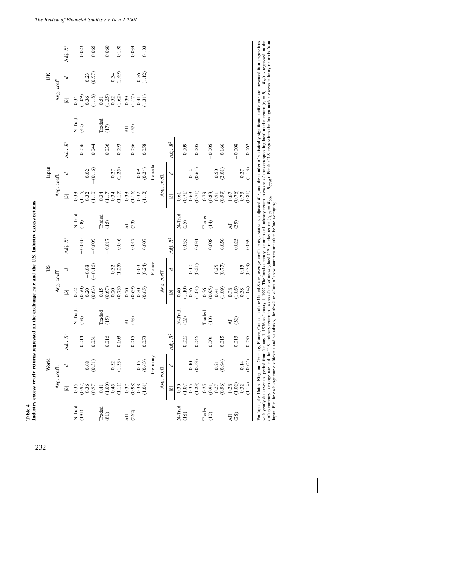|                                                            |                                                             | World                                       |                     |                                                     |                                      | SU                    |                        |                                                     |                                                              | Japan                 |                     |                        |                              | UК             |                     |
|------------------------------------------------------------|-------------------------------------------------------------|---------------------------------------------|---------------------|-----------------------------------------------------|--------------------------------------|-----------------------|------------------------|-----------------------------------------------------|--------------------------------------------------------------|-----------------------|---------------------|------------------------|------------------------------|----------------|---------------------|
|                                                            | Avg.                                                        | $\mathsf{coeff}.$                           |                     |                                                     |                                      | Avg. coeff.           |                        |                                                     |                                                              | Avg. coeff.           |                     |                        | Avg. coeff.                  |                |                     |
|                                                            | $\overline{q}$                                              |                                             | Adj. $R^2$          |                                                     | $\overline{d}$                       | Α                     | Adj. R <sup>2</sup>    |                                                     | $\overline{d}$                                               | Þ                     | Adj. R <sup>2</sup> |                        | $\overline{q}$               | Α              | Adj. R <sup>2</sup> |
| $N-Trad.$<br>$(181)$                                       | (0.97)<br>0.35                                              |                                             | 0.014               | N-Trad.<br>(38)                                     | (0.70)<br>0.22                       |                       | $-0.016$               | N-Trad.<br>(38)                                     | $\begin{array}{c} 33 \\ 1.5 \\ -1.5 \end{array}$             |                       | 0.036               | N-Trad.<br>(40)        | $0.34$<br>$(1.09)$           |                | 0.023               |
|                                                            | $\frac{0.36}{0.97}$                                         | (15)<br>$\frac{0.08}{0.31}$                 | 0.031               |                                                     | $(0.63)$<br>0.20                     | $(-0.16)$<br>$-0.08$  | $-0.009$               |                                                     | (1.10)                                                       | $- (0.16)$<br>0.02    | 0.044               |                        | (1.18)<br>0.36               | (0.97)<br>0.23 | 0.065               |
| $\begin{array}{c} \text{Trade} \\ \text{(81)} \end{array}$ | $0.41$<br>$0.45$<br>$0.45$                                  |                                             | 0.016               | Traded $(15)$                                       | $0.15$<br>$0.67$<br>$0.20$           |                       | $-0.017$               | Traded<br>(15)                                      | $3.53$<br>$-1.53$                                            |                       | 0.036               | Traded (17)            | $0.500$<br>$0.500$<br>$0.60$ |                | 0.060               |
|                                                            | (1.11)                                                      | $0.32$<br>(1.33)                            | 0.103               |                                                     | (0.73)                               | $\frac{0.32}{(1.25)}$ | 0.046                  |                                                     | (1.17)                                                       | $0.27$<br>(1.25)      | 0.093               |                        |                              | (1.49)<br>0.34 | 0.198               |
| (262)<br>$\overline{AB}$                                   | (0.98)<br>0.37                                              |                                             | 0.015               | (53)<br>$\overline{A}$                              | $0.20$<br>$(0.69)$                   |                       | $-0.017$               | (53)<br>$\overline{z}$                              | 0.33                                                         |                       | 0.036               | (57)<br>$\overline{A}$ | 0.39<br>(1.17)               |                | 0.034               |
|                                                            | (1.01)<br>0.38                                              | $\frac{0.15}{0.63}$                         | 0.053               |                                                     | (0.65)<br>0.20                       | (0.24)<br>0.03        | 0.007                  |                                                     | $(1.16)$<br>$0.32$<br>1.12                                   | (0.24)<br>0.09        | 0.058               |                        | (1.31)<br>0.41               | (1.12)<br>0.26 | 0.103               |
|                                                            |                                                             | Germany                                     |                     |                                                     |                                      | France                |                        |                                                     |                                                              | Canada                |                     |                        |                              |                |                     |
|                                                            | Avg. coeff.                                                 |                                             |                     |                                                     |                                      | Avg. coeff.           |                        |                                                     |                                                              | Avg. coeff.           |                     |                        |                              |                |                     |
|                                                            | $\overline{q}$                                              |                                             | Adj. R <sup>2</sup> |                                                     | $\overline{a}$                       | P                     | $\mathbb{R}^2$<br>Ādj. |                                                     | $\overline{d}$                                               | Þ                     | Adj. R <sup>2</sup> |                        |                              |                |                     |
| N-Trad.<br>(18)                                            | $(1.07)$<br>$(1.23)$<br>$(1.23)$<br>0.30                    | $\begin{array}{c} 0.10 \\ 0.53 \end{array}$ | 0.020<br>0.046      | N-Trad.<br>(22)                                     | (1.01)<br>$\frac{10}{1.36}$<br>0.40  | $\frac{0.10}{0.21}$   | 0.033<br>0.031         | N-Trad.<br>(25)                                     | 9696<br>1969                                                 | $0.14$<br>$(0.64)$    | $-0.009$<br>0.005   |                        |                              |                |                     |
| $\begin{array}{c} \text{Trade} \\ \text{(10)} \end{array}$ | $\begin{array}{c} 0.25 \\ 0.91 \\ 0.27 \\ 0.96 \end{array}$ | $0.21$<br>$(0.94)$                          | 0.015<br>0.001      | $\begin{array}{l} {\rm Traded} \\ (10) \end{array}$ | (1.09)<br>$0.36$<br>$(0.95)$<br>0.41 | $\frac{0.25}{(0.77)}$ | 0.008<br>0.056         | $\begin{array}{l}\text{Traded} \\ (14) \end{array}$ | (66.0)<br>$\frac{0.79}{0.83}$<br>0.91                        | $\frac{0.50}{(2.01)}$ | $-0.005$<br>0.166   |                        |                              |                |                     |
| (28)<br>$\overline{AB}$                                    | (1.02)<br>$\frac{4}{11}$<br>0.28<br>0.32                    | $0.4$<br>$(0.67)$                           | 0.013<br>0.035      | $\overline{43}$                                     | (1.05)<br>(1.04)<br>0.38<br>0.38     | (0.39)<br>0.15        | 0.039<br>0.025         | (39)<br>$\overline{A}$                              | $\begin{array}{c} 0.67 \\ 0.76 \\ 0.73 \end{array}$<br>(181) | (1.13)<br>0.27        | $-0.008$<br>0.062   |                        |                              |                |                     |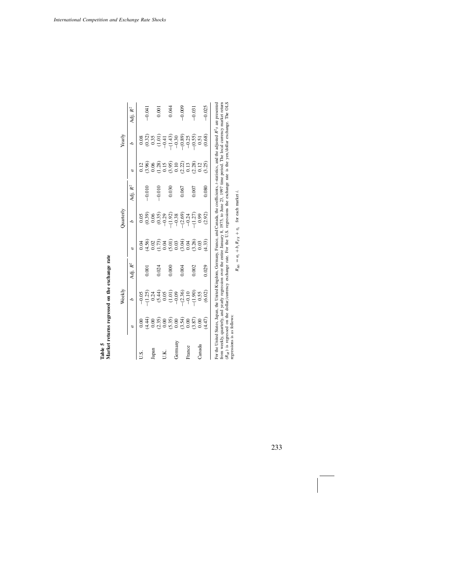|         |                            | Weekly                                                    |                     |                    | <b>Quarterly</b>                                                   |                     |                                  | Yearly                 |                     |
|---------|----------------------------|-----------------------------------------------------------|---------------------|--------------------|--------------------------------------------------------------------|---------------------|----------------------------------|------------------------|---------------------|
|         | a                          | d                                                         | Adj. R <sup>2</sup> | а                  | ء                                                                  | Adj. R <sup>2</sup> | a                                | d                      | Adj. R <sup>2</sup> |
| S.L     | 0.00                       | $-0.05$                                                   |                     | 10.04              |                                                                    |                     | 0.12                             |                        |                     |
|         |                            |                                                           | 0.001               |                    | $0.39$<br>$0.39$<br>$0.39$<br>$0.39$<br>$0.39$<br>$0.32$<br>$0.32$ | $-0.010$            |                                  | 8823534<br>883554      | $-0.041$            |
| Japan   | $\frac{4}{4}$ 90           |                                                           |                     |                    |                                                                    |                     | 3.96<br>0.06                     |                        |                     |
|         |                            |                                                           | 0.024               |                    |                                                                    | $-0.010$            |                                  |                        | 0.001               |
|         |                            |                                                           |                     |                    |                                                                    |                     |                                  |                        |                     |
|         | 2.30<br>2.9.9.9<br>2.9.9.9 | $\begin{array}{c} 234 \\ 244 \\ -256 \\ -256 \end{array}$ | 0.000               | 98<br>1985<br>1986 |                                                                    | 0.030               | $(1.38)$<br>$(1.58)$<br>$(0.50)$ |                        | 0.044               |
| Germany |                            |                                                           |                     |                    | $-0.38$                                                            |                     |                                  | $- (1.43)$<br>$- 0.30$ |                     |
|         |                            |                                                           | 0.004               |                    |                                                                    | 0.067               |                                  |                        | $-0.009$            |
| France  | $^{(3.54)}_{0.00}$         | $-2.36$<br>$-0.10$                                        |                     | (3.04)             | $-0.59$<br>$-0.24$                                                 |                     |                                  | $-0.89$<br>$-0.25$     |                     |
|         | $(3.87)$<br>0.00           | $(06.1) -$                                                | 0.002               | (3.26)             | $-(1.27)$                                                          | 0.007               | $(2.22)$<br>$(2.38)$<br>$(2.38)$ | $-(0.55)$              | $-0.031$            |
| Canada  |                            | 0.55                                                      |                     | 0.03               | 0.99                                                               |                     | 0.12                             | 0.51                   |                     |
|         | (14.47)                    | (6.02)                                                    | 0.029               | 4.33               | (2.92)                                                             | 0.080               | 3.25                             | (0.68)                 | $-0.025$            |

For the United States, Japan, the United Kingdom, Germany, France, and Canada, the coefficients, 1-statistics, and the adjusted  $R^2s$  are presented from weekly, quarterly, and yearly regression over the entire January 8, For the United States, Japan, the United Kingdom, Germany, France, and Canada, the coefficients, t-statistics, and the adjusted R<sup>2</sup>s are presented from weekly, quarterly, and yearly regression over the entire January 8, 1975, to June 23, 1997 time period. The local currency market return  $(R_M)$  is regressed on the dollar/currency exchange rate. For the U.S. regressions the exchange rate is the yen/dollar exchange. The OLS regressions is as follows:

 $R_{Mi} = \alpha_i + b_i R_{FX} + \eta_i$  for each market *i*.  $R_{Mi} = \alpha_i + b_i R_{FX} + \eta_i$  for each market *i*.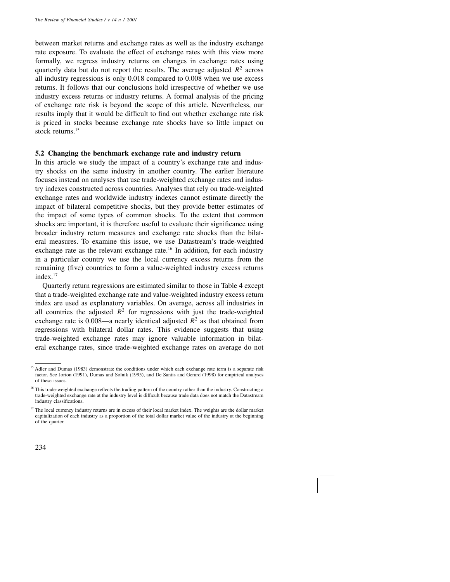between market returns and exchange rates as well as the industry exchange rate exposure. To evaluate the effect of exchange rates with this view more formally, we regress industry returns on changes in exchange rates using quarterly data but do not report the results. The average adjusted  $R^2$  across all industry regressions is only 0.018 compared to 0.008 when we use excess returns. It follows that our conclusions hold irrespective of whether we use industry excess returns or industry returns. A formal analysis of the pricing of exchange rate risk is beyond the scope of this article. Nevertheless, our results imply that it would be difficult to find out whether exchange rate risk is priced in stocks because exchange rate shocks have so little impact on stock returns.<sup>15</sup>

## **5.2 Changing the benchmark exchange rate and industry return**

In this article we study the impact of a country's exchange rate and industry shocks on the same industry in another country. The earlier literature focuses instead on analyses that use trade-weighted exchange rates and industry indexes constructed across countries. Analyses that rely on trade-weighted exchange rates and worldwide industry indexes cannot estimate directly the impact of bilateral competitive shocks, but they provide better estimates of the impact of some types of common shocks. To the extent that common shocks are important, it is therefore useful to evaluate their significance using broader industry return measures and exchange rate shocks than the bilateral measures. To examine this issue, we use Datastream's trade-weighted exchange rate as the relevant exchange rate.<sup>16</sup> In addition, for each industry in a particular country we use the local currency excess returns from the remaining (five) countries to form a value-weighted industry excess returns index.<sup>17</sup>

Quarterly return regressions are estimated similar to those in Table 4 except that a trade-weighted exchange rate and value-weighted industry excess return index are used as explanatory variables. On average, across all industries in all countries the adjusted  $R^2$  for regressions with just the trade-weighted exchange rate is 0.008—a nearly identical adjusted  $R^2$  as that obtained from regressions with bilateral dollar rates. This evidence suggests that using trade-weighted exchange rates may ignore valuable information in bilateral exchange rates, since trade-weighted exchange rates on average do not

<sup>&</sup>lt;sup>15</sup> Adler and Dumas (1983) demonstrate the conditions under which each exchange rate term is a separate risk factor. See Jorion (1991), Dumas and Solnik (1995), and De Santis and Gerard (1998) for empirical analyses of these issues.

<sup>&</sup>lt;sup>16</sup> This trade-weighted exchange reflects the trading pattern of the country rather than the industry. Constructing a trade-weighted exchange rate at the industry level is difficult because trade data does not match the Datastream industry classifications.

 $17$  The local currency industry returns are in excess of their local market index. The weights are the dollar market capitalization of each industry as a proportion of the total dollar market value of the industry at the beginning of the quarter.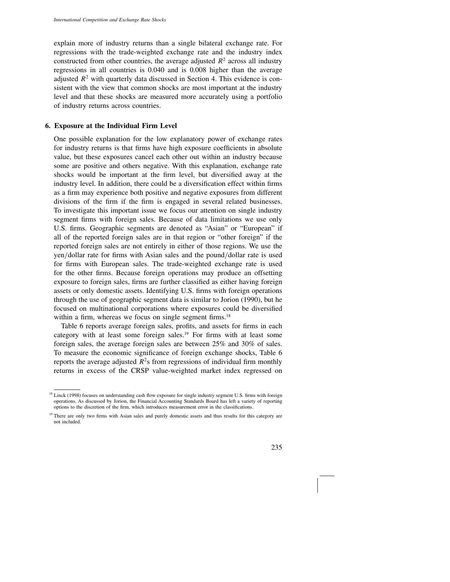explain more of industry returns than a single bilateral exchange rate. For regressions with the trade-weighted exchange rate and the industry index constructed from other countries, the average adjusted  $R^2$  across all industry regressions in all countries is 0.040 and is 0.008 higher than the average adjusted  $R<sup>2</sup>$  with quarterly data discussed in Section 4. This evidence is consistent with the view that common shocks are most important at the industry level and that these shocks are measured more accurately using a portfolio of industry returns across countries.

## **6. Exposure at the Individual Firm Level**

One possible explanation for the low explanatory power of exchange rates for industry returns is that firms have high exposure coefficients in absolute value, but these exposures cancel each other out within an industry because some are positive and others negative. With this explanation, exchange rate shocks would be important at the firm level, but diversified away at the industry level. In addition, there could be a diversification effect within firms as a firm may experience both positive and negative exposures from different divisions of the firm if the firm is engaged in several related businesses. To investigate this important issue we focus our attention on single industry segment firms with foreign sales. Because of data limitations we use only U.S. firms. Geographic segments are denoted as "Asian" or "European" if all of the reported foreign sales are in that region or "other foreign" if the reported foreign sales are not entirely in either of those regions. We use the yen/dollar rate for firms with Asian sales and the pound/dollar rate is used for firms with European sales. The trade-weighted exchange rate is used for the other firms. Because foreign operations may produce an offsetting exposure to foreign sales, firms are further classified as either having foreign assets or only domestic assets. Identifying U.S. firms with foreign operations through the use of geographic segment data is similar to Jorion (1990), but he focused on multinational corporations where exposures could be diversified within a firm, whereas we focus on single segment firms.<sup>18</sup>

Table 6 reports average foreign sales, profits, and assets for firms in each category with at least some foreign sales.<sup>19</sup> For firms with at least some foreign sales, the average foreign sales are between 25% and 30% of sales. To measure the economic significance of foreign exchange shocks, Table 6 reports the average adjusted  $R^2$ s from regressions of individual firm monthly returns in excess of the CRSP value-weighted market index regressed on

<sup>&</sup>lt;sup>18</sup> Linck (1998) focuses on understanding cash flow exposure for single industry segment U.S. firms with foreign operations. As discussed by Jorion, the Financial Accounting Standards Board has left a variety of reporting options to the discretion of the firm, which introduces measurement error in the classifications.

<sup>&</sup>lt;sup>19</sup> There are only two firms with Asian sales and purely domestic assets and thus results for this category are not included.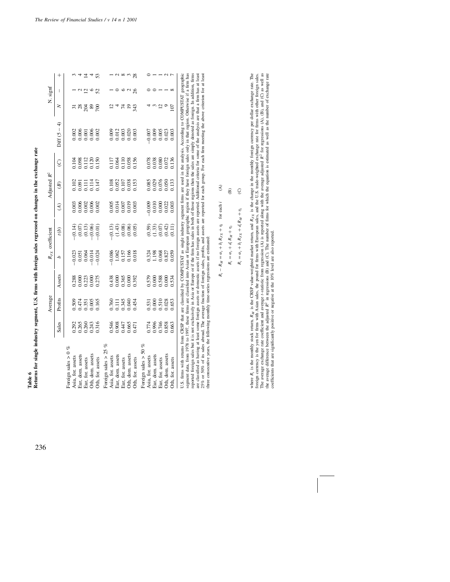**Table 6**

| ֧֧֧֧ׅ֧֧ׅ֧֧ׅ֧֧֧֧֦֧֚֚֚֚֚֚֚֚֚֚֚֚֚֚֚֚֚֚֚֚֚֚֚֚֚֚֚֚֝֝֓֝֓֜֓֝֓֜֓֝֬֜֓֜֜ |
|----------------------------------------------------------------|
| ١                                                              |
|                                                                |
|                                                                |
|                                                                |
|                                                                |
| ١<br>l                                                         |
|                                                                |
| ١                                                              |
|                                                                |
|                                                                |
|                                                                |
|                                                                |
|                                                                |
|                                                                |
| .<br>.<br>.                                                    |
|                                                                |
| Refni<br>j                                                     |

|                                                                                                                                                                 |                                         | Average                        |                                                                  |                                           | $R_{FX}$ coefficient                      |                          | Adjusted $R^2$                            |                                           |                                 | z             | signf                 |              |
|-----------------------------------------------------------------------------------------------------------------------------------------------------------------|-----------------------------------------|--------------------------------|------------------------------------------------------------------|-------------------------------------------|-------------------------------------------|--------------------------|-------------------------------------------|-------------------------------------------|---------------------------------|---------------|-----------------------|--------------|
|                                                                                                                                                                 | Sales                                   | Profits                        | Assets                                                           | d                                         | t(b)                                      | $\widehat{\mathcal{E}}$  | (B)                                       | $\overline{C}$                            | $Diff (5-4)$                    | z             |                       |              |
| É,<br>Foreign sales $> 0$                                                                                                                                       |                                         |                                |                                                                  |                                           |                                           |                          |                                           |                                           |                                 |               |                       |              |
| Asia, for. assets                                                                                                                                               |                                         |                                |                                                                  |                                           |                                           |                          |                                           |                                           |                                 |               |                       |              |
| Eur, dom. assets                                                                                                                                                |                                         |                                |                                                                  |                                           |                                           |                          |                                           |                                           |                                 |               |                       |              |
| Eur, for. assets                                                                                                                                                |                                         |                                |                                                                  |                                           |                                           |                          |                                           |                                           |                                 |               |                       | 그            |
| Oth, dom. assets                                                                                                                                                | 292<br>0.260<br>0.243<br>0.316<br>0.316 | 509<br>0.474<br>0.005<br>0.165 | 8888888888888                                                    |                                           |                                           |                          |                                           | 103<br>0.093<br>0.1120<br>0.150           | 002<br>0.000<br>0.000<br>0.000  | ಸ ಇತ್ಲ ಇಲ್ಲಿ  |                       | 4            |
| Oth, for. assets                                                                                                                                                |                                         |                                |                                                                  |                                           | + 1<br>0000<br>0000 -<br>0000 -           |                          |                                           |                                           |                                 |               | $\tilde{\mathcal{E}}$ | 53           |
| e,<br>Foreign sales $> 25$                                                                                                                                      |                                         |                                |                                                                  |                                           |                                           |                          |                                           |                                           |                                 |               |                       |              |
| Asia, for. assets                                                                                                                                               |                                         |                                |                                                                  |                                           |                                           |                          |                                           |                                           |                                 |               |                       |              |
| Eur, dom. assets                                                                                                                                                |                                         |                                |                                                                  |                                           |                                           |                          |                                           |                                           |                                 |               |                       |              |
| Eur, for. assets                                                                                                                                                | 0.546<br>0.903<br>0.955<br>0.971        | 0.760<br>0.1145<br>0.0.454     | 438<br>0.000<br>0.000<br>0.000                                   | 0.062<br>1.062<br>0.157<br>0.018<br>0.019 |                                           | 88<br>858<br>858<br>8600 | 0.108<br>0.052<br>0.107<br>0.038<br>0.153 | 0.117<br>0.064<br>0.110<br>0.058<br>0.156 | 0000<br>0.000<br>0.000<br>0.000 | 74            |                       | <b>೧∞</b> ೧೫ |
| Oth, dom. assets                                                                                                                                                |                                         |                                |                                                                  |                                           |                                           |                          |                                           |                                           |                                 | $19$<br>343   |                       |              |
| Oth, for. assets                                                                                                                                                |                                         |                                |                                                                  |                                           | 01398<br>1988<br>1988<br>1989             |                          |                                           |                                           |                                 |               | $\frac{2}{3}$         |              |
| E<br>Foreign sales $>$ 50                                                                                                                                       |                                         |                                |                                                                  |                                           |                                           |                          |                                           |                                           |                                 |               |                       |              |
| Asia, for. assets                                                                                                                                               |                                         |                                |                                                                  |                                           |                                           |                          |                                           |                                           |                                 |               |                       |              |
| Eur, dom. assets                                                                                                                                                | 0.774<br>0.996<br>0.858<br>0.663        | 531<br>0.000<br>0.028<br>0.653 | 0.579<br>0.000<br>0.000<br>0.534                                 | 0.324<br>1.198<br>0.068<br>0.059          | 953672<br>0.3307<br>0.0.0.11)<br>0.0.0.11 |                          | 0.085<br>0.029<br>0.050<br>0.050<br>0.133 | 0.078<br>0.038<br>0.072<br>0.136          |                                 |               |                       |              |
| Eur, for. assets                                                                                                                                                |                                         |                                |                                                                  |                                           |                                           |                          |                                           |                                           |                                 |               |                       |              |
| Oth, dom. assets                                                                                                                                                |                                         |                                |                                                                  |                                           |                                           |                          |                                           |                                           |                                 |               |                       |              |
| for. assets<br>Ōф,                                                                                                                                              |                                         |                                |                                                                  |                                           |                                           |                          |                                           |                                           |                                 |               |                       |              |
| U.S. firms with returns from CRSP that are classified by COMPUSTAT as single industry segment firms are used in the analysis. According to COMPUSTAT geographic | $\sim$ 1007 $\mu$ - $\sim$ $\mu$        |                                | $\ldots$ . The set $B$ of $A$ is a function of $A$ is a function |                                           |                                           |                          |                                           |                                           |                                 | $\sim$ $\sim$ |                       |              |

segment data, from 1978 to 1997, these firms are classified into Asian or European geographic region fit hey have foreign sales only in that region. Otherwise if a firm has<br>reported foreign sales but it is not exclusively are classified as having at least some foreign assets or domestic assets if no foreign assets are reported. Additional criteria for some of the analysis are that a firm has at least<br>25% or 50% of its sales abroad. The aver segment data, from 1978 to 1997, these firms are classified into Asian or European geographic region if they have foreign sales only in that region. Otherwise if a firm has reported foreign sales but it is not exclusively in Asia or Europe or if the firm has sales in both of those regions then the sales are simply denoted as foreign. In addition, firms are classified as having at least some foreign assets or domestic assets if no foreign assets are reported. Additional criteria for some of the analysis are that a firm has at least 25% or 50% of its sales abroad. The average fraction of foreign sales, profits, and assets are reported for each group. For each firm meeting the above criterion for at least three consecutive years, the following monthly time-series regressions are estimated three consecutive years, the following monthly time-series regressions are estimated:

$$
R_i - R_M = \alpha_i + b_i R_{FX} + \eta_i \quad \text{for each } i \qquad (A)
$$

$$
R_i = \alpha_i + d_i R_M + \eta_i \qquad (B)
$$

 $\odot$  $R_i = \alpha_i + b_i R_{FX} + d_i R_M + \eta_i$  (C)  $R_i = \alpha_i + b_i R_{FX} + d_i R_M + \eta_i$ 

The average exchange rate coefficient and average *I*-statistic from regression (A) is reported along with the average adjusted  $R^2$  for regressions (A), (B), and (C) as well as the average difference between the adjuste where  $R_i$  is the monthly stock return,  $R_M$  is the CRSP value-weighted market return, and  $R_{FX}$  is the change in the monthly foreign currency per dollar exchange rate. The foreign sure is the year of the US and the U.S. where  $R_i$  is the monthly stock return,  $R_M$  is the CRSP value-weighted market return, and  $R_{FX}$  is the change in the monthly foreign currency per dollar exchange rate. The foreign currency is the yen for firms with Asian sales, the pound for firms with European sales, and the U.S. trade-weighted exchange rate for firms with other foreign sales. The average exchange rate coefficient and average t-statistic from regression (A) is reported along with the average adjusted  $R^2$  for regressions (A), (B), and (C) as well as the average difference between the adjusted  $R^2$  in regressions (B) and (C). The number of firms for which the equation is estimated as well as the number of exchange rate coefficients that are significantly positive or negative at the 10% level are also reported. coefficients that are significantly positive or negative at the 10% level are also reported.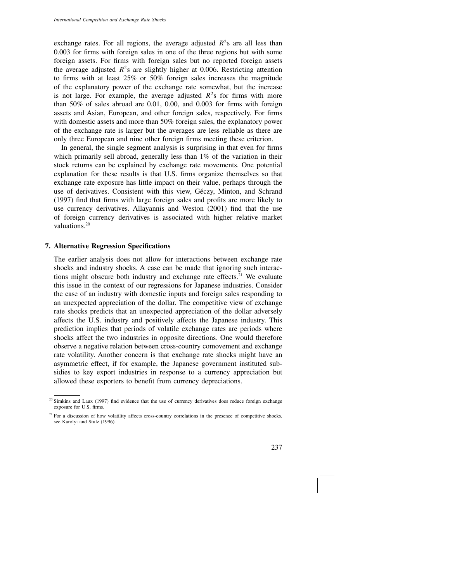exchange rates. For all regions, the average adjusted  $R^2$ s are all less than 0.003 for firms with foreign sales in one of the three regions but with some foreign assets. For firms with foreign sales but no reported foreign assets the average adjusted  $R^2$ s are slightly higher at 0.006. Restricting attention to firms with at least 25% or 50% foreign sales increases the magnitude of the explanatory power of the exchange rate somewhat, but the increase is not large. For example, the average adjusted  $R^2$ s for firms with more than 50% of sales abroad are 0.01, 0.00, and 0.003 for firms with foreign assets and Asian, European, and other foreign sales, respectively. For firms with domestic assets and more than 50% foreign sales, the explanatory power of the exchange rate is larger but the averages are less reliable as there are only three European and nine other foreign firms meeting these criterion.

In general, the single segment analysis is surprising in that even for firms which primarily sell abroad, generally less than 1% of the variation in their stock returns can be explained by exchange rate movements. One potential explanation for these results is that U.S. firms organize themselves so that exchange rate exposure has little impact on their value, perhaps through the use of derivatives. Consistent with this view, Géczy, Minton, and Schrand (1997) find that firms with large foreign sales and profits are more likely to use currency derivatives. Allayannis and Weston (2001) find that the use of foreign currency derivatives is associated with higher relative market valuations $20$ 

## **7. Alternative Regression Specifications**

The earlier analysis does not allow for interactions between exchange rate shocks and industry shocks. A case can be made that ignoring such interactions might obscure both industry and exchange rate effects. $21$  We evaluate this issue in the context of our regressions for Japanese industries. Consider the case of an industry with domestic inputs and foreign sales responding to an unexpected appreciation of the dollar. The competitive view of exchange rate shocks predicts that an unexpected appreciation of the dollar adversely affects the U.S. industry and positively affects the Japanese industry. This prediction implies that periods of volatile exchange rates are periods where shocks affect the two industries in opposite directions. One would therefore observe a negative relation between cross-country comovement and exchange rate volatility. Another concern is that exchange rate shocks might have an asymmetric effect, if for example, the Japanese government instituted subsidies to key export industries in response to a currency appreciation but allowed these exporters to benefit from currency depreciations.

<sup>&</sup>lt;sup>20</sup> Simkins and Laux (1997) find evidence that the use of currency derivatives does reduce foreign exchange exposure for U.S. firms.

 $21$  For a discussion of how volatility affects cross-country correlations in the presence of competitive shocks, see Karolyi and Stulz (1996).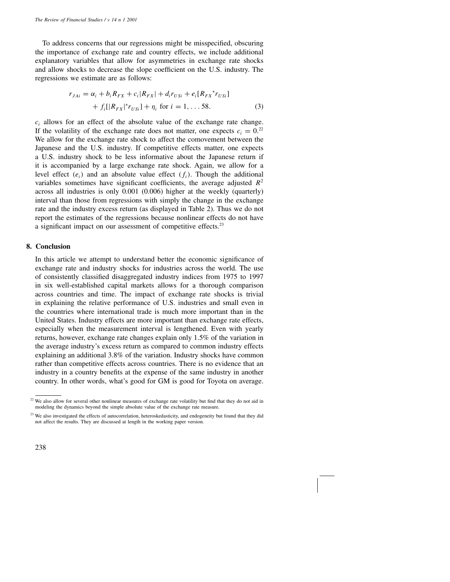To address concerns that our regressions might be misspecified, obscuring the importance of exchange rate and country effects, we include additional explanatory variables that allow for asymmetries in exchange rate shocks and allow shocks to decrease the slope coefficient on the U.S. industry. The regressions we estimate are as follows:

$$
r_{JAi} = \alpha_i + b_i R_{FX} + c_i |R_{FX}| + d_i r_{USi} + e_i [R_{FX}^* r_{USi}] + f_i [|R_{FX}|^* r_{USi}] + \eta_i \text{ for } i = 1, \dots 58.
$$
 (3)

 $c_i$  allows for an effect of the absolute value of the exchange rate change. If the volatility of the exchange rate does not matter, one expects  $c_i = 0.^{22}$ We allow for the exchange rate shock to affect the comovement between the Japanese and the U.S. industry. If competitive effects matter, one expects a U.S. industry shock to be less informative about the Japanese return if it is accompanied by a large exchange rate shock. Again, we allow for a level effect  $(e_i)$  and an absolute value effect  $(f_i)$ . Though the additional variables sometimes have significant coefficients, the average adjusted  $R^2$ across all industries is only 0.001 (0.006) higher at the weekly (quarterly) interval than those from regressions with simply the change in the exchange rate and the industry excess return (as displayed in Table 2). Thus we do not report the estimates of the regressions because nonlinear effects do not have a significant impact on our assessment of competitive effects.<sup>23</sup>

## **8. Conclusion**

In this article we attempt to understand better the economic significance of exchange rate and industry shocks for industries across the world. The use of consistently classified disaggregated industry indices from 1975 to 1997 in six well-established capital markets allows for a thorough comparison across countries and time. The impact of exchange rate shocks is trivial in explaining the relative performance of U.S. industries and small even in the countries where international trade is much more important than in the United States. Industry effects are more important than exchange rate effects, especially when the measurement interval is lengthened. Even with yearly returns, however, exchange rate changes explain only 1.5% of the variation in the average industry's excess return as compared to common industry effects explaining an additional 3.8% of the variation. Industry shocks have common rather than competitive effects across countries. There is no evidence that an industry in a country benefits at the expense of the same industry in another country. In other words, what's good for GM is good for Toyota on average.

<sup>&</sup>lt;sup>22</sup> We also allow for several other nonlinear measures of exchange rate volatility but find that they do not aid in modeling the dynamics beyond the simple absolute value of the exchange rate measure.

<sup>&</sup>lt;sup>23</sup> We also investigated the effects of autocorrelation, heteroskedasticity, and endogeneity but found that they did not affect the results. They are discussed at length in the working paper version.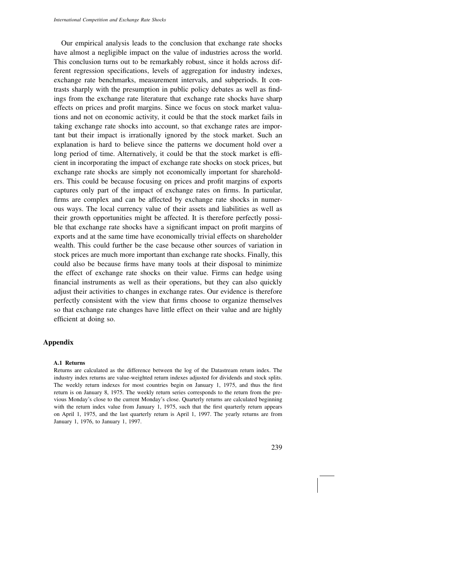Our empirical analysis leads to the conclusion that exchange rate shocks have almost a negligible impact on the value of industries across the world. This conclusion turns out to be remarkably robust, since it holds across different regression specifications, levels of aggregation for industry indexes, exchange rate benchmarks, measurement intervals, and subperiods. It contrasts sharply with the presumption in public policy debates as well as findings from the exchange rate literature that exchange rate shocks have sharp effects on prices and profit margins. Since we focus on stock market valuations and not on economic activity, it could be that the stock market fails in taking exchange rate shocks into account, so that exchange rates are important but their impact is irrationally ignored by the stock market. Such an explanation is hard to believe since the patterns we document hold over a long period of time. Alternatively, it could be that the stock market is efficient in incorporating the impact of exchange rate shocks on stock prices, but exchange rate shocks are simply not economically important for shareholders. This could be because focusing on prices and profit margins of exports captures only part of the impact of exchange rates on firms. In particular, firms are complex and can be affected by exchange rate shocks in numerous ways. The local currency value of their assets and liabilities as well as their growth opportunities might be affected. It is therefore perfectly possible that exchange rate shocks have a significant impact on profit margins of exports and at the same time have economically trivial effects on shareholder wealth. This could further be the case because other sources of variation in stock prices are much more important than exchange rate shocks. Finally, this could also be because firms have many tools at their disposal to minimize the effect of exchange rate shocks on their value. Firms can hedge using financial instruments as well as their operations, but they can also quickly adjust their activities to changes in exchange rates. Our evidence is therefore perfectly consistent with the view that firms choose to organize themselves so that exchange rate changes have little effect on their value and are highly efficient at doing so.

## **Appendix**

#### **A.1 Returns**

Returns are calculated as the difference between the log of the Datastream return index. The industry index returns are value-weighted return indexes adjusted for dividends and stock splits. The weekly return indexes for most countries begin on January 1, 1975, and thus the first return is on January 8, 1975. The weekly return series corresponds to the return from the previous Monday's close to the current Monday's close. Quarterly returns are calculated beginning with the return index value from January 1, 1975, such that the first quarterly return appears on April 1, 1975, and the last quarterly return is April 1, 1997. The yearly returns are from January 1, 1976, to January 1, 1997.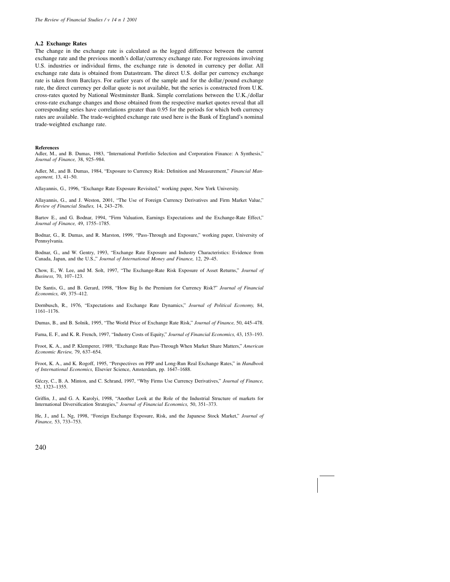#### **A.2 Exchange Rates**

The change in the exchange rate is calculated as the logged difference between the current exchange rate and the previous month's dollar/currency exchange rate. For regressions involving U.S. industries or individual firms, the exchange rate is denoted in currency per dollar. All exchange rate data is obtained from Datastream. The direct U.S. dollar per currency exchange rate is taken from Barclays. For earlier years of the sample and for the dollar/pound exchange rate, the direct currency per dollar quote is not available, but the series is constructed from U.K. cross-rates quoted by National Westminster Bank. Simple correlations between the U.K./dollar cross-rate exchange changes and those obtained from the respective market quotes reveal that all corresponding series have correlations greater than 0.95 for the periods for which both currency rates are available. The trade-weighted exchange rate used here is the Bank of England's nominal trade-weighted exchange rate.

#### **References**

Adler, M., and B. Dumas, 1983, "International Portfolio Selection and Corporation Finance: A Synthesis," Journal of Finance, 38, 925–984.

Adler, M., and B. Dumas, 1984, "Exposure to Currency Risk: Definition and Measurement," Financial Management, 13, 41–50.

Allayannis, G., 1996, "Exchange Rate Exposure Revisited," working paper, New York University.

Allayannis, G., and J. Weston, 2001, "The Use of Foreign Currency Derivatives and Firm Market Value," Review of Financial Studies, 14, 243–276.

Bartov E., and G. Bodnar, 1994, "Firm Valuation, Earnings Expectations and the Exchange-Rate Effect," Journal of Finance, 49, 1755–1785.

Bodnar, G., R. Dumas, and R. Marston, 1999, "Pass-Through and Exposure," working paper, University of Pennsylvania.

Bodnar, G., and W. Gentry, 1993, "Exchange Rate Exposure and Industry Characteristics: Evidence from Canada, Japan, and the U.S.," Journal of International Money and Finance, 12, 29–45.

Chow, E., W. Lee, and M. Solt, 1997, "The Exchange-Rate Risk Exposure of Asset Returns," Journal of Business, 70, 107–123.

De Santis, G., and B. Gerard, 1998, "How Big Is the Premium for Currency Risk?" Journal of Financial Economics, 49, 375–412.

Dornbusch, R., 1976, "Expectations and Exchange Rate Dynamics," Journal of Political Economy, 84, 1161–1176.

Dumas, B., and B. Solnik, 1995, "The World Price of Exchange Rate Risk," Journal of Finance, 50, 445–478.

Fama, E. F., and K. R. French, 1997, "Industry Costs of Equity," Journal of Financial Economics, 43, 153–193.

Froot, K. A., and P. Klemperer, 1989, "Exchange Rate Pass-Through When Market Share Matters," American Economic Review, 79, 637–654.

Froot, K. A., and K. Rogoff, 1995, "Perspectives on PPP and Long-Run Real Exchange Rates," in Handbook of International Economics, Elsevier Science, Amsterdam, pp. 1647–1688.

Géczy, C., B. A. Minton, and C. Schrand, 1997, "Why Firms Use Currency Derivatives," Journal of Finance, 52, 1323–1355.

Griffin, J., and G. A. Karolyi, 1998, "Another Look at the Role of the Industrial Structure of markets for International Diversification Strategies," Journal of Financial Economics, 50, 351–373.

He, J., and L. Ng, 1998, "Foreign Exchange Exposure, Risk, and the Japanese Stock Market," Journal of Finance, 53, 733–753.